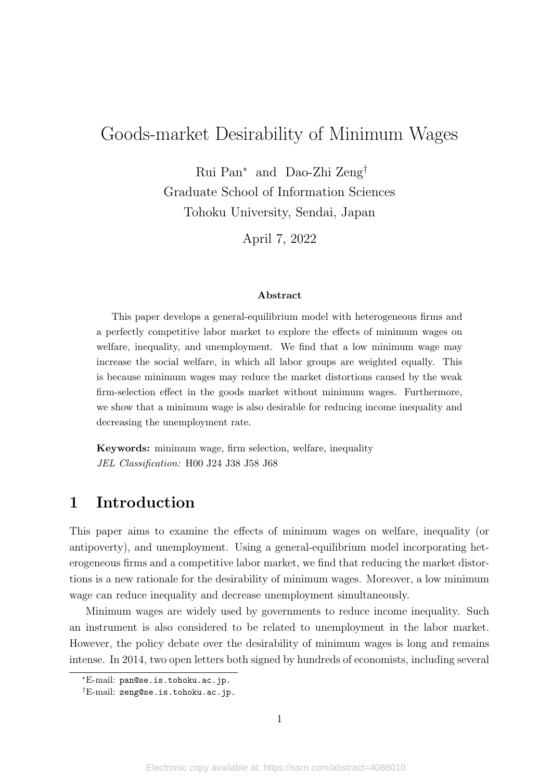# Goods-market Desirability of Minimum Wages

Rui Pan<sup>∗</sup> and Dao-Zhi Zeng† Graduate School of Information Sciences Tohoku University, Sendai, Japan

April 7, 2022

#### **Abstract**

This paper develops a general-equilibrium model with heterogeneous firms and a perfectly competitive labor market to explore the effects of minimum wages on welfare, inequality, and unemployment. We find that a low minimum wage may increase the social welfare, in which all labor groups are weighted equally. This is because minimum wages may reduce the market distortions caused by the weak firm-selection effect in the goods market without minimum wages. Furthermore, we show that a minimum wage is also desirable for reducing income inequality and decreasing the unemployment rate.

**Keywords:** minimum wage, firm selection, welfare, inequality *JEL Classification:* H00 J24 J38 J58 J68

## **1 Introduction**

This paper aims to examine the effects of minimum wages on welfare, inequality (or antipoverty), and unemployment. Using a general-equilibrium model incorporating heterogeneous firms and a competitive labor market, we find that reducing the market distortions is a new rationale for the desirability of minimum wages. Moreover, a low minimum wage can reduce inequality and decrease unemployment simultaneously.

Minimum wages are widely used by governments to reduce income inequality. Such an instrument is also considered to be related to unemployment in the labor market. However, the policy debate over the desirability of minimum wages is long and remains intense. In 2014, two open letters both signed by hundreds of economists, including several

<sup>∗</sup>E-mail: pan@se.is.tohoku.ac.jp.

<sup>†</sup>E-mail: zeng@se.is.tohoku.ac.jp.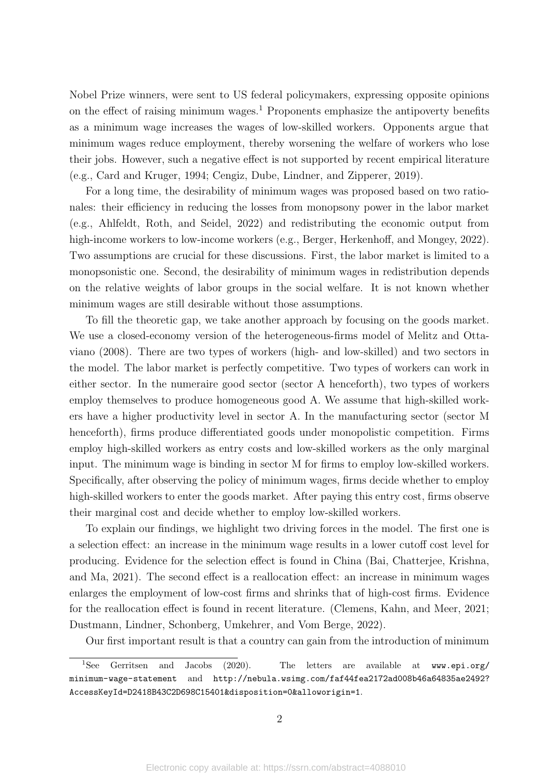Nobel Prize winners, were sent to US federal policymakers, expressing opposite opinions on the effect of raising minimum wages.<sup>1</sup> Proponents emphasize the antipoverty benefits as a minimum wage increases the wages of low-skilled workers. Opponents argue that minimum wages reduce employment, thereby worsening the welfare of workers who lose their jobs. However, such a negative effect is not supported by recent empirical literature (e.g., Card and Kruger, 1994; Cengiz, Dube, Lindner, and Zipperer, 2019).

For a long time, the desirability of minimum wages was proposed based on two rationales: their efficiency in reducing the losses from monopsony power in the labor market (e.g., Ahlfeldt, Roth, and Seidel, 2022) and redistributing the economic output from high-income workers to low-income workers (e.g., Berger, Herkenhoff, and Mongey, 2022). Two assumptions are crucial for these discussions. First, the labor market is limited to a monopsonistic one. Second, the desirability of minimum wages in redistribution depends on the relative weights of labor groups in the social welfare. It is not known whether minimum wages are still desirable without those assumptions.

To fill the theoretic gap, we take another approach by focusing on the goods market. We use a closed-economy version of the heterogeneous-firms model of Melitz and Ottaviano (2008). There are two types of workers (high- and low-skilled) and two sectors in the model. The labor market is perfectly competitive. Two types of workers can work in either sector. In the numeraire good sector (sector A henceforth), two types of workers employ themselves to produce homogeneous good A. We assume that high-skilled workers have a higher productivity level in sector A. In the manufacturing sector (sector M henceforth), firms produce differentiated goods under monopolistic competition. Firms employ high-skilled workers as entry costs and low-skilled workers as the only marginal input. The minimum wage is binding in sector M for firms to employ low-skilled workers. Specifically, after observing the policy of minimum wages, firms decide whether to employ high-skilled workers to enter the goods market. After paying this entry cost, firms observe their marginal cost and decide whether to employ low-skilled workers.

To explain our findings, we highlight two driving forces in the model. The first one is a selection effect: an increase in the minimum wage results in a lower cutoff cost level for producing. Evidence for the selection effect is found in China (Bai, Chatterjee, Krishna, and Ma, 2021). The second effect is a reallocation effect: an increase in minimum wages enlarges the employment of low-cost firms and shrinks that of high-cost firms. Evidence for the reallocation effect is found in recent literature. (Clemens, Kahn, and Meer, 2021; Dustmann, Lindner, Schonberg, Umkehrer, and Vom Berge, 2022).

Our first important result is that a country can gain from the introduction of minimum

<sup>&</sup>lt;sup>1</sup>See Gerritsen and Jacobs (2020). The letters are available at www.epi.org/ minimum-wage-statement and http://nebula.wsimg.com/faf44fea2172ad008b46a64835ae2492? AccessKeyId=D2418B43C2D698C15401&disposition=0&alloworigin=1.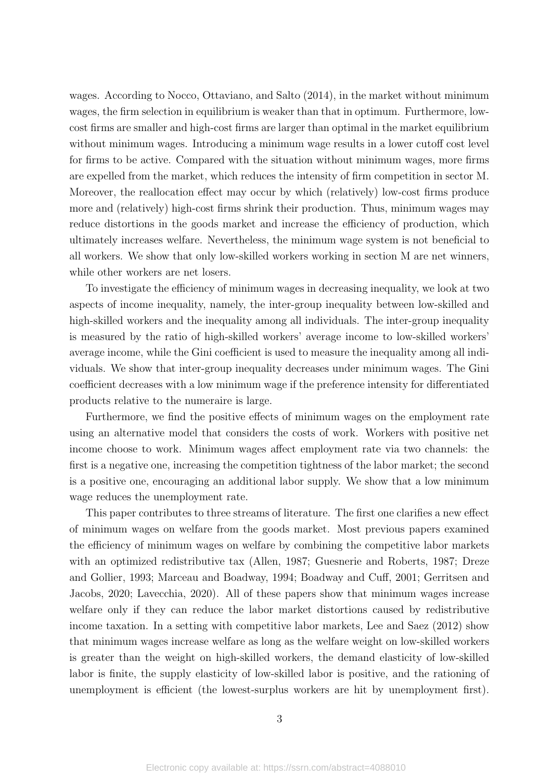wages. According to Nocco, Ottaviano, and Salto (2014), in the market without minimum wages, the firm selection in equilibrium is weaker than that in optimum. Furthermore, lowcost firms are smaller and high-cost firms are larger than optimal in the market equilibrium without minimum wages. Introducing a minimum wage results in a lower cutoff cost level for firms to be active. Compared with the situation without minimum wages, more firms are expelled from the market, which reduces the intensity of firm competition in sector M. Moreover, the reallocation effect may occur by which (relatively) low-cost firms produce more and (relatively) high-cost firms shrink their production. Thus, minimum wages may reduce distortions in the goods market and increase the efficiency of production, which ultimately increases welfare. Nevertheless, the minimum wage system is not beneficial to all workers. We show that only low-skilled workers working in section M are net winners, while other workers are net losers.

To investigate the efficiency of minimum wages in decreasing inequality, we look at two aspects of income inequality, namely, the inter-group inequality between low-skilled and high-skilled workers and the inequality among all individuals. The inter-group inequality is measured by the ratio of high-skilled workers' average income to low-skilled workers' average income, while the Gini coefficient is used to measure the inequality among all individuals. We show that inter-group inequality decreases under minimum wages. The Gini coefficient decreases with a low minimum wage if the preference intensity for differentiated products relative to the numeraire is large.

Furthermore, we find the positive effects of minimum wages on the employment rate using an alternative model that considers the costs of work. Workers with positive net income choose to work. Minimum wages affect employment rate via two channels: the first is a negative one, increasing the competition tightness of the labor market; the second is a positive one, encouraging an additional labor supply. We show that a low minimum wage reduces the unemployment rate.

This paper contributes to three streams of literature. The first one clarifies a new effect of minimum wages on welfare from the goods market. Most previous papers examined the efficiency of minimum wages on welfare by combining the competitive labor markets with an optimized redistributive tax (Allen, 1987; Guesnerie and Roberts, 1987; Dreze and Gollier, 1993; Marceau and Boadway, 1994; Boadway and Cuff, 2001; Gerritsen and Jacobs, 2020; Lavecchia, 2020). All of these papers show that minimum wages increase welfare only if they can reduce the labor market distortions caused by redistributive income taxation. In a setting with competitive labor markets, Lee and Saez (2012) show that minimum wages increase welfare as long as the welfare weight on low-skilled workers is greater than the weight on high-skilled workers, the demand elasticity of low-skilled labor is finite, the supply elasticity of low-skilled labor is positive, and the rationing of unemployment is efficient (the lowest-surplus workers are hit by unemployment first).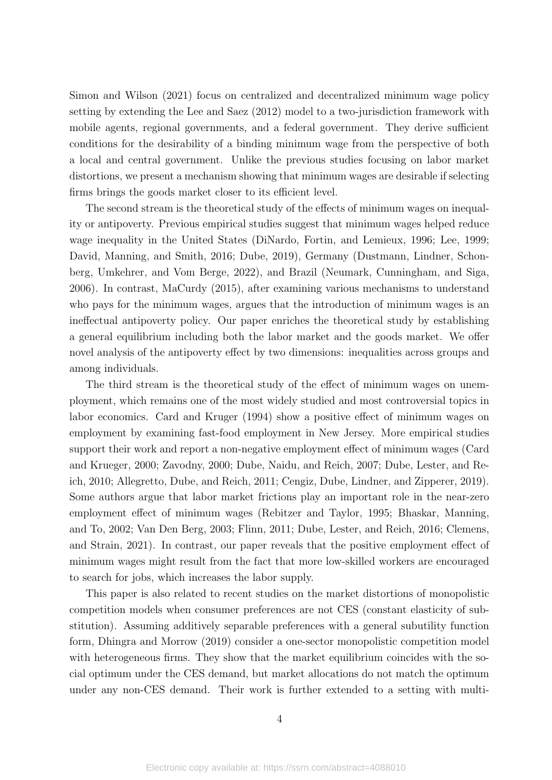Simon and Wilson (2021) focus on centralized and decentralized minimum wage policy setting by extending the Lee and Saez (2012) model to a two-jurisdiction framework with mobile agents, regional governments, and a federal government. They derive sufficient conditions for the desirability of a binding minimum wage from the perspective of both a local and central government. Unlike the previous studies focusing on labor market distortions, we present a mechanism showing that minimum wages are desirable if selecting firms brings the goods market closer to its efficient level.

The second stream is the theoretical study of the effects of minimum wages on inequality or antipoverty. Previous empirical studies suggest that minimum wages helped reduce wage inequality in the United States (DiNardo, Fortin, and Lemieux, 1996; Lee, 1999; David, Manning, and Smith, 2016; Dube, 2019), Germany (Dustmann, Lindner, Schonberg, Umkehrer, and Vom Berge, 2022), and Brazil (Neumark, Cunningham, and Siga, 2006). In contrast, MaCurdy (2015), after examining various mechanisms to understand who pays for the minimum wages, argues that the introduction of minimum wages is an ineffectual antipoverty policy. Our paper enriches the theoretical study by establishing a general equilibrium including both the labor market and the goods market. We offer novel analysis of the antipoverty effect by two dimensions: inequalities across groups and among individuals.

The third stream is the theoretical study of the effect of minimum wages on unemployment, which remains one of the most widely studied and most controversial topics in labor economics. Card and Kruger (1994) show a positive effect of minimum wages on employment by examining fast-food employment in New Jersey. More empirical studies support their work and report a non-negative employment effect of minimum wages (Card and Krueger, 2000; Zavodny, 2000; Dube, Naidu, and Reich, 2007; Dube, Lester, and Reich, 2010; Allegretto, Dube, and Reich, 2011; Cengiz, Dube, Lindner, and Zipperer, 2019). Some authors argue that labor market frictions play an important role in the near-zero employment effect of minimum wages (Rebitzer and Taylor, 1995; Bhaskar, Manning, and To, 2002; Van Den Berg, 2003; Flinn, 2011; Dube, Lester, and Reich, 2016; Clemens, and Strain, 2021). In contrast, our paper reveals that the positive employment effect of minimum wages might result from the fact that more low-skilled workers are encouraged to search for jobs, which increases the labor supply.

This paper is also related to recent studies on the market distortions of monopolistic competition models when consumer preferences are not CES (constant elasticity of substitution). Assuming additively separable preferences with a general subutility function form, Dhingra and Morrow (2019) consider a one-sector monopolistic competition model with heterogeneous firms. They show that the market equilibrium coincides with the social optimum under the CES demand, but market allocations do not match the optimum under any non-CES demand. Their work is further extended to a setting with multi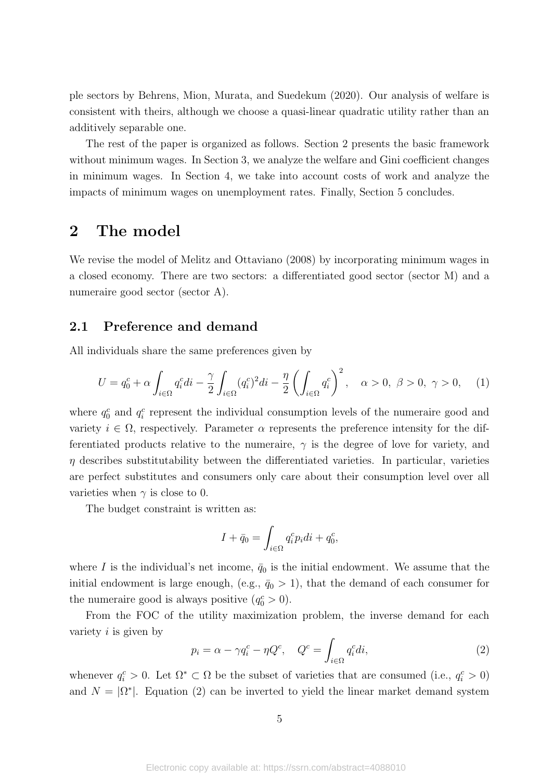ple sectors by Behrens, Mion, Murata, and Suedekum (2020). Our analysis of welfare is consistent with theirs, although we choose a quasi-linear quadratic utility rather than an additively separable one.

The rest of the paper is organized as follows. Section 2 presents the basic framework without minimum wages. In Section 3, we analyze the welfare and Gini coefficient changes in minimum wages. In Section 4, we take into account costs of work and analyze the impacts of minimum wages on unemployment rates. Finally, Section 5 concludes.

### **2 The model**

We revise the model of Melitz and Ottaviano (2008) by incorporating minimum wages in a closed economy. There are two sectors: a differentiated good sector (sector M) and a numeraire good sector (sector A).

#### **2.1 Preference and demand**

All individuals share the same preferences given by

$$
U = q_0^c + \alpha \int_{i \in \Omega} q_i^c \, di - \frac{\gamma}{2} \int_{i \in \Omega} (q_i^c)^2 \, di - \frac{\eta}{2} \left( \int_{i \in \Omega} q_i^c \right)^2, \quad \alpha > 0, \ \beta > 0, \ \gamma > 0, \tag{1}
$$

where  $q_0^c$  and  $q_i^c$  represent the individual consumption levels of the numeraire good and variety  $i \in \Omega$ , respectively. Parameter  $\alpha$  represents the preference intensity for the differentiated products relative to the numeraire,  $\gamma$  is the degree of love for variety, and  $\eta$  describes substitutability between the differentiated varieties. In particular, varieties are perfect substitutes and consumers only care about their consumption level over all varieties when  $\gamma$  is close to 0.

The budget constraint is written as:

$$
I + \bar{q}_0 = \int_{i \in \Omega} q_i^c p_i di + q_0^c,
$$

where *I* is the individual's net income,  $\bar{q}_0$  is the initial endowment. We assume that the initial endowment is large enough, (e.g.,  $\bar{q}_0 > 1$ ), that the demand of each consumer for the numeraire good is always positive  $(q_0^c > 0)$ .

From the FOC of the utility maximization problem, the inverse demand for each variety *i* is given by

$$
p_i = \alpha - \gamma q_i^c - \eta Q^c, \quad Q^c = \int_{i \in \Omega} q_i^c di,
$$
\n(2)

whenever  $q_i^c > 0$ . Let  $\Omega^* \subset \Omega$  be the subset of varieties that are consumed (i.e.,  $q_i^c > 0$ ) and  $N = |\Omega^*|$ . Equation (2) can be inverted to yield the linear market demand system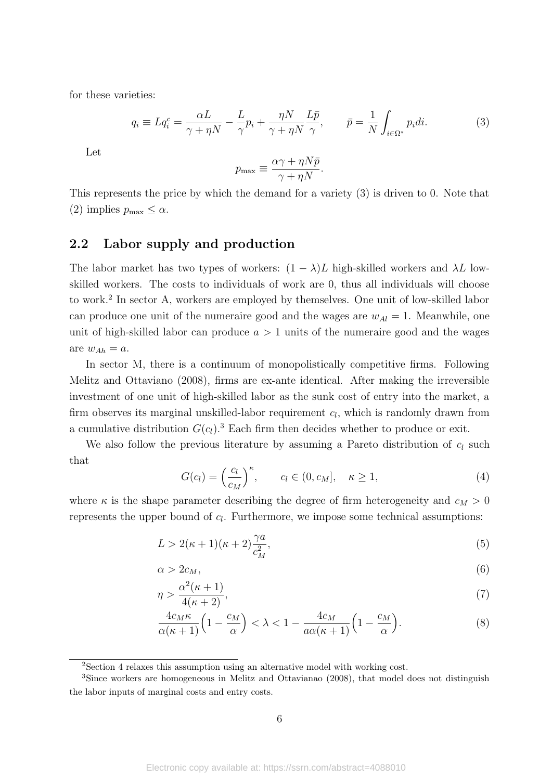for these varieties:

$$
q_i \equiv Lq_i^c = \frac{\alpha L}{\gamma + \eta N} - \frac{L}{\gamma} p_i + \frac{\eta N}{\gamma + \eta N} \frac{L\bar{p}}{\gamma}, \qquad \bar{p} = \frac{1}{N} \int_{i \in \Omega^*} p_i di. \tag{3}
$$

Let

$$
p_{\max} \equiv \frac{\alpha \gamma + \eta N \bar{p}}{\gamma + \eta N}.
$$

This represents the price by which the demand for a variety (3) is driven to 0. Note that  $(2)$  implies  $p_{\text{max}} \leq \alpha$ .

#### **2.2 Labor supply and production**

The labor market has two types of workers:  $(1 - \lambda)L$  high-skilled workers and  $\lambda L$  lowskilled workers. The costs to individuals of work are 0, thus all individuals will choose to work.<sup>2</sup> In sector A, workers are employed by themselves. One unit of low-skilled labor can produce one unit of the numeraire good and the wages are  $w_{Al} = 1$ . Meanwhile, one unit of high-skilled labor can produce  $a > 1$  units of the numeraire good and the wages are  $w_{Ah} = a$ .

In sector M, there is a continuum of monopolistically competitive firms. Following Melitz and Ottaviano (2008), firms are ex-ante identical. After making the irreversible investment of one unit of high-skilled labor as the sunk cost of entry into the market, a firm observes its marginal unskilled-labor requirement *c<sup>l</sup>* , which is randomly drawn from a cumulative distribution  $G(c_l)$ .<sup>3</sup> Each firm then decides whether to produce or exit.

We also follow the previous literature by assuming a Pareto distribution of  $c_l$  such that

$$
G(c_l) = \left(\frac{c_l}{c_M}\right)^{\kappa}, \qquad c_l \in (0, c_M], \quad \kappa \ge 1,
$$
\n
$$
(4)
$$

where  $\kappa$  is the shape parameter describing the degree of firm heterogeneity and  $c_M > 0$ represents the upper bound of *c<sup>l</sup>* . Furthermore, we impose some technical assumptions:

$$
L > 2(\kappa + 1)(\kappa + 2)\frac{\gamma a}{c_M^2},\tag{5}
$$

$$
\alpha > 2c_M,\tag{6}
$$

$$
\eta > \frac{\alpha^2(\kappa + 1)}{4(\kappa + 2)},\tag{7}
$$

$$
\frac{4c_M\kappa}{\alpha(\kappa+1)}\left(1-\frac{c_M}{\alpha}\right)<\lambda<1-\frac{4c_M}{a\alpha(\kappa+1)}\left(1-\frac{c_M}{\alpha}\right). \tag{8}
$$

<sup>&</sup>lt;sup>2</sup>Section 4 relaxes this assumption using an alternative model with working cost.

<sup>3</sup>Since workers are homogeneous in Melitz and Ottavianao (2008), that model does not distinguish the labor inputs of marginal costs and entry costs.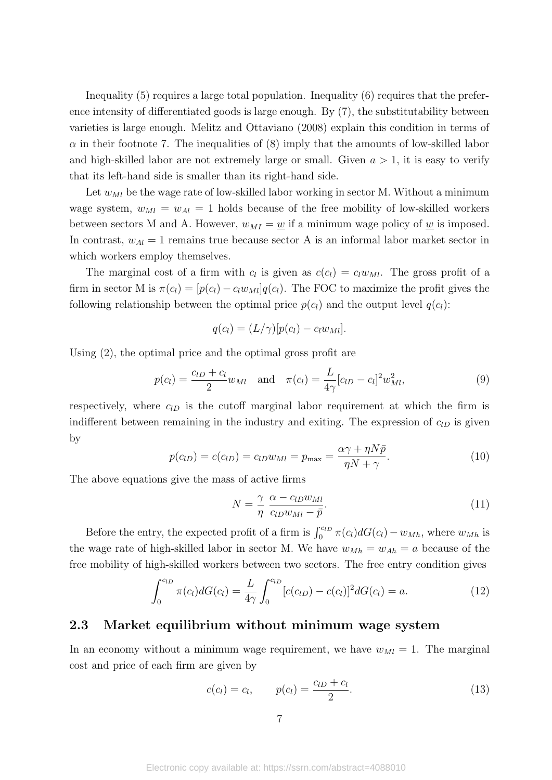Inequality (5) requires a large total population. Inequality (6) requires that the preference intensity of differentiated goods is large enough. By (7), the substitutability between varieties is large enough. Melitz and Ottaviano (2008) explain this condition in terms of  $\alpha$  in their footnote 7. The inequalities of (8) imply that the amounts of low-skilled labor and high-skilled labor are not extremely large or small. Given  $a > 1$ , it is easy to verify that its left-hand side is smaller than its right-hand side.

Let  $w_{Ml}$  be the wage rate of low-skilled labor working in sector M. Without a minimum wage system,  $w_{Ml} = w_{Al} = 1$  holds because of the free mobility of low-skilled workers between sectors M and A. However,  $w_{MI} = w$  if a minimum wage policy of  $w$  is imposed. In contrast,  $w_{Al} = 1$  remains true because sector A is an informal labor market sector in which workers employ themselves.

The marginal cost of a firm with  $c_l$  is given as  $c(c_l) = c_l w_{Ml}$ . The gross profit of a firm in sector M is  $\pi(c_l) = [p(c_l) - c_l w_{Ml}]q(c_l)$ . The FOC to maximize the profit gives the following relationship between the optimal price  $p(c_l)$  and the output level  $q(c_l)$ :

$$
q(c_l) = (L/\gamma)[p(c_l) - c_l w_{Ml}].
$$

Using (2), the optimal price and the optimal gross profit are

$$
p(c_l) = \frac{c_{lD} + c_l}{2} w_{Ml} \quad \text{and} \quad \pi(c_l) = \frac{L}{4\gamma} [c_{lD} - c_l]^2 w_{Ml}^2,
$$
\n(9)

respectively, where  $c_{lD}$  is the cutoff marginal labor requirement at which the firm is indifferent between remaining in the industry and exiting. The expression of *clD* is given by

$$
p(c_{lD}) = c(c_{lD}) = c_{lD}w_{Ml} = p_{\text{max}} = \frac{\alpha \gamma + \eta N \bar{p}}{\eta N + \gamma}.
$$
\n(10)

The above equations give the mass of active firms

$$
N = \frac{\gamma}{\eta} \frac{\alpha - c_{lD} w_{Ml}}{c_{lD} w_{Ml} - \bar{p}}.
$$
\n(11)

Before the entry, the expected profit of a firm is  $\int_0^{c_{lD}} \pi(c_l) dG(c_l) - w_{Mh}$ , where  $w_{Mh}$  is the wage rate of high-skilled labor in sector M. We have  $w_{Mh} = w_{Ah} = a$  because of the free mobility of high-skilled workers between two sectors. The free entry condition gives

$$
\int_0^{c_{lD}} \pi(c_l) dG(c_l) = \frac{L}{4\gamma} \int_0^{c_{lD}} [c(c_{lD}) - c(c_l)]^2 dG(c_l) = a.
$$
\n(12)

#### **2.3 Market equilibrium without minimum wage system**

In an economy without a minimum wage requirement, we have  $w_{Ml} = 1$ . The marginal cost and price of each firm are given by

$$
c(c_l) = c_l, \qquad p(c_l) = \frac{c_{lD} + c_l}{2}.
$$
\n(13)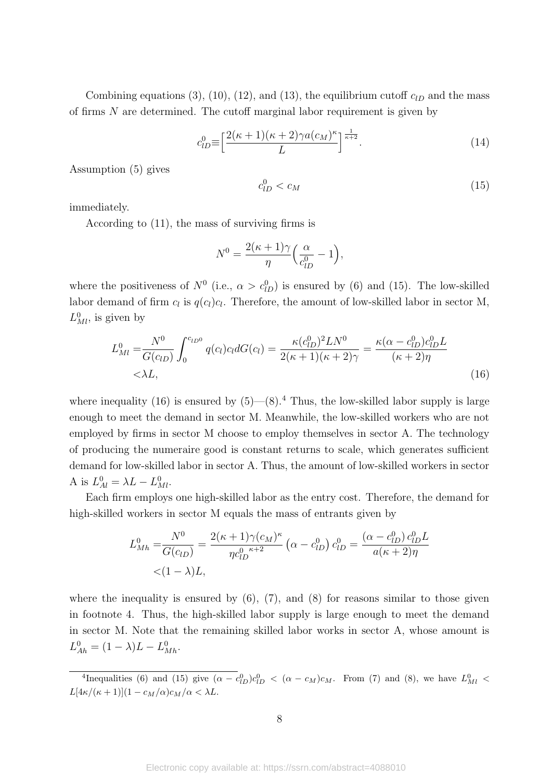Combining equations  $(3)$ ,  $(10)$ ,  $(12)$ , and  $(13)$ , the equilibrium cutoff  $c_{lD}$  and the mass of firms *N* are determined. The cutoff marginal labor requirement is given by

$$
c_{lD}^0 \equiv \left[\frac{2(\kappa+1)(\kappa+2)\gamma a(c_M)^{\kappa}}{L}\right]^{\frac{1}{\kappa+2}}.\tag{14}
$$

Assumption (5) gives

$$
c_{lD}^0 < c_M \tag{15}
$$

immediately.

According to (11), the mass of surviving firms is

$$
N^{0} = \frac{2(\kappa + 1)\gamma}{\eta} \left(\frac{\alpha}{c_{lD}^{0}} - 1\right),
$$

where the positiveness of  $N^0$  (i.e.,  $\alpha > c_{lD}^0$ ) is ensured by (6) and (15). The low-skilled labor demand of firm  $c_l$  is  $q(c_l)c_l$ . Therefore, the amount of low-skilled labor in sector M,  $L_{Ml}^0$ , is given by

$$
L_{MI}^{0} = \frac{N^{0}}{G(c_{1D})} \int_{0}^{c_{1D0}} q(c_{l}) c_{l} dG(c_{l}) = \frac{\kappa (c_{1D}^{0})^{2} L N^{0}}{2(\kappa + 1)(\kappa + 2)\gamma} = \frac{\kappa (\alpha - c_{1D}^{0}) c_{1D}^{0} L}{(\kappa + 2)\eta}
$$
  
<  $\langle \lambda L, (16) \rangle$ 

where inequality (16) is ensured by  $(5)$ — $(8)$ .<sup>4</sup> Thus, the low-skilled labor supply is large enough to meet the demand in sector M. Meanwhile, the low-skilled workers who are not employed by firms in sector M choose to employ themselves in sector A. The technology of producing the numeraire good is constant returns to scale, which generates sufficient demand for low-skilled labor in sector A. Thus, the amount of low-skilled workers in sector A is  $L_{Al}^{0} = \lambda L - L_{Ml}^{0}$ .

Each firm employs one high-skilled labor as the entry cost. Therefore, the demand for high-skilled workers in sector M equals the mass of entrants given by

$$
L_{Mh}^{0} = \frac{N^{0}}{G(c_{lD})} = \frac{2(\kappa + 1)\gamma(c_{M})^{\kappa}}{\eta c_{lD}^{0}} (\alpha - c_{lD}^{0}) c_{lD}^{0} = \frac{(\alpha - c_{lD}^{0}) c_{lD}^{0} L}{a(\kappa + 2)\eta}
$$
  
< 
$$
< (1 - \lambda)L,
$$

where the inequality is ensured by  $(6)$ ,  $(7)$ , and  $(8)$  for reasons similar to those given in footnote 4. Thus, the high-skilled labor supply is large enough to meet the demand in sector M. Note that the remaining skilled labor works in sector A, whose amount is  $L_{Ah}^{0} = (1 - \lambda)L - L_{Mh}^{0}$ .

 $^{4}$ Inequalities (6) and (15) give  $(\alpha - c_{1D}^{0})c_{1D}^{0} < (\alpha - c_{M})c_{M}$ . From (7) and (8), we have  $L_{M1}^{0}$  <  $L[4\kappa/(\kappa+1)](1-c_M/\alpha)c_M/\alpha < \lambda L$ .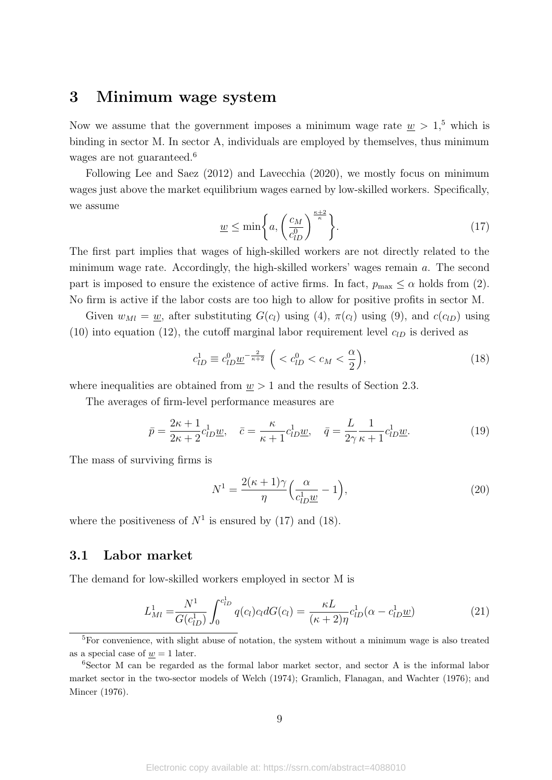### **3 Minimum wage system**

Now we assume that the government imposes a minimum wage rate  $w > 1$ ,<sup>5</sup> which is binding in sector M. In sector A, individuals are employed by themselves, thus minimum wages are not guaranteed.<sup>6</sup>

Following Lee and Saez (2012) and Lavecchia (2020), we mostly focus on minimum wages just above the market equilibrium wages earned by low-skilled workers. Specifically, we assume

$$
\underline{w} \le \min\bigg\{a, \left(\frac{c_M}{c_{lD}^0}\right)^{\frac{\kappa+2}{\kappa}}\bigg\}.\tag{17}
$$

The first part implies that wages of high-skilled workers are not directly related to the minimum wage rate. Accordingly, the high-skilled workers' wages remain *a*. The second part is imposed to ensure the existence of active firms. In fact,  $p_{\text{max}} \leq \alpha$  holds from (2). No firm is active if the labor costs are too high to allow for positive profits in sector M.

Given  $w_{M} = w$ , after substituting  $G(c_l)$  using (4),  $\pi(c_l)$  using (9), and  $c(c_{lD})$  using (10) into equation (12), the cutoff marginal labor requirement level  $c_{1D}$  is derived as

$$
c_{lD}^{1} \equiv c_{lD}^{0} \underline{w}^{-\frac{2}{\kappa+2}} \left( < c_{lD}^{0} < c_M < \frac{\alpha}{2} \right),\tag{18}
$$

where inequalities are obtained from  $w > 1$  and the results of Section 2.3.

The averages of firm-level performance measures are

$$
\bar{p} = \frac{2\kappa + 1}{2\kappa + 2} c_{lD}^1 \underline{w}, \quad \bar{c} = \frac{\kappa}{\kappa + 1} c_{lD}^1 \underline{w}, \quad \bar{q} = \frac{L}{2\gamma} \frac{1}{\kappa + 1} c_{lD}^1 \underline{w}.
$$
\n(19)

The mass of surviving firms is

$$
N^{1} = \frac{2(\kappa + 1)\gamma}{\eta} \left(\frac{\alpha}{c_{lD}^{1}\underline{w}} - 1\right),\tag{20}
$$

where the positiveness of  $N^1$  is ensured by (17) and (18).

#### **3.1 Labor market**

The demand for low-skilled workers employed in sector M is

$$
L_{Ml}^{1} = \frac{N^{1}}{G(c_{lD}^{1})} \int_{0}^{c_{lD}^{1}} q(c_{l}) c_{l} dG(c_{l}) = \frac{\kappa L}{(\kappa + 2)\eta} c_{lD}^{1} (\alpha - c_{lD}^{1} \underline{w})
$$
(21)

<sup>&</sup>lt;sup>5</sup>For convenience, with slight abuse of notation, the system without a minimum wage is also treated as a special case of  $w = 1$  later.

 $6$ Sector M can be regarded as the formal labor market sector, and sector A is the informal labor market sector in the two-sector models of Welch (1974); Gramlich, Flanagan, and Wachter (1976); and Mincer (1976).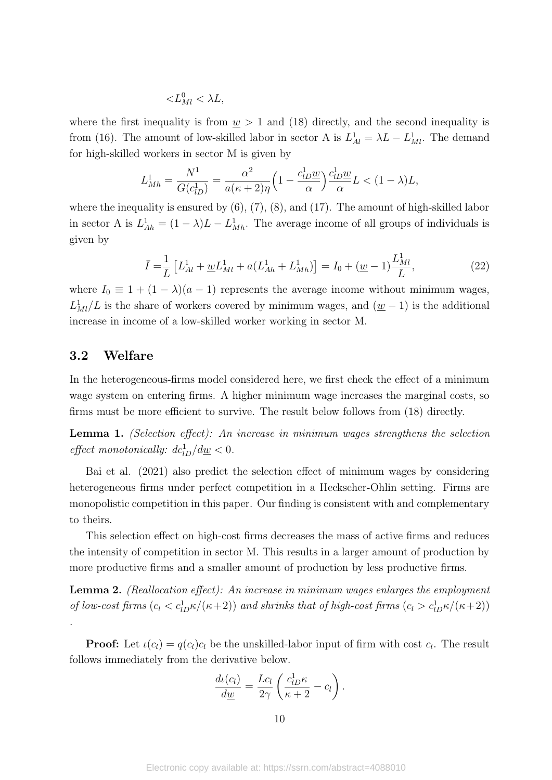$$
< L_{Ml}^{0} < \lambda L,
$$

where the first inequality is from  $\underline{w} > 1$  and (18) directly, and the second inequality is from (16). The amount of low-skilled labor in sector A is  $L_{Al}^1 = \lambda L - L_{Ml}^1$ . The demand for high-skilled workers in sector M is given by

$$
L_{Mh}^1 = \frac{N^1}{G(c_{lD}^1)} = \frac{\alpha^2}{a(\kappa+2)\eta} \left(1 - \frac{c_{lD}^1 \underline{w}}{\alpha}\right) \frac{c_{lD}^1 \underline{w}}{\alpha} L < (1-\lambda)L,
$$

where the inequality is ensured by  $(6)$ ,  $(7)$ ,  $(8)$ , and  $(17)$ . The amount of high-skilled labor in sector A is  $L_{Ah}^1 = (1 - \lambda)L - L_{Mh}^1$ . The average income of all groups of individuals is given by

$$
\bar{I} = \frac{1}{L} \left[ L_{Al}^1 + \underline{w} L_{Ml}^1 + a(L_{Ah}^1 + L_{Mh}^1) \right] = I_0 + (\underline{w} - 1) \frac{L_{Ml}^1}{L},\tag{22}
$$

where  $I_0 \equiv 1 + (1 - \lambda)(a - 1)$  represents the average income without minimum wages,  $L<sup>1</sup><sub>Ml</sub>/L$  is the share of workers covered by minimum wages, and ( $w - 1$ ) is the additional increase in income of a low-skilled worker working in sector M.

#### **3.2 Welfare**

In the heterogeneous-firms model considered here, we first check the effect of a minimum wage system on entering firms. A higher minimum wage increases the marginal costs, so firms must be more efficient to survive. The result below follows from (18) directly.

**Lemma 1.** *(Selection effect): An increase in minimum wages strengthens the selection effect monotonically:*  $dc_{1D}^1/d\underline{w} < 0$ .

Bai et al. (2021) also predict the selection effect of minimum wages by considering heterogeneous firms under perfect competition in a Heckscher-Ohlin setting. Firms are monopolistic competition in this paper. Our finding is consistent with and complementary to theirs.

This selection effect on high-cost firms decreases the mass of active firms and reduces the intensity of competition in sector M. This results in a larger amount of production by more productive firms and a smaller amount of production by less productive firms.

**Lemma 2.** *(Reallocation effect): An increase in minimum wages enlarges the employment of low-cost firms*  $(c_l < c_{lD}^1 \kappa/(\kappa+2))$  *and shrinks that of high-cost firms*  $(c_l > c_{lD}^1 \kappa/(\kappa+2))$ *.*

**Proof:** Let  $\iota(c_l) = q(c_l)c_l$  be the unskilled-labor input of firm with cost  $c_l$ . The result follows immediately from the derivative below.

$$
\frac{d\iota(c_l)}{d\underline{w}} = \frac{Lc_l}{2\gamma} \left( \frac{c_{lD}^1 \kappa}{\kappa + 2} - c_l \right).
$$

10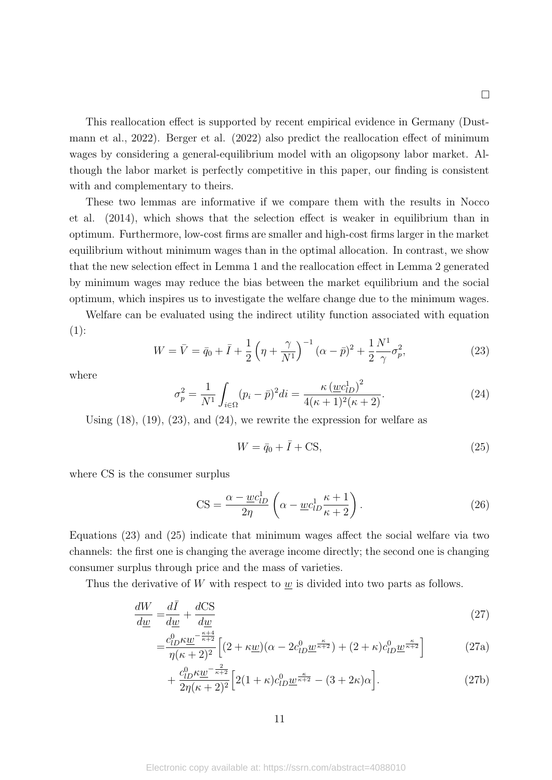□

This reallocation effect is supported by recent empirical evidence in Germany (Dustmann et al., 2022). Berger et al. (2022) also predict the reallocation effect of minimum wages by considering a general-equilibrium model with an oligopsony labor market. Although the labor market is perfectly competitive in this paper, our finding is consistent with and complementary to theirs.

These two lemmas are informative if we compare them with the results in Nocco et al. (2014), which shows that the selection effect is weaker in equilibrium than in optimum. Furthermore, low-cost firms are smaller and high-cost firms larger in the market equilibrium without minimum wages than in the optimal allocation. In contrast, we show that the new selection effect in Lemma 1 and the reallocation effect in Lemma 2 generated by minimum wages may reduce the bias between the market equilibrium and the social optimum, which inspires us to investigate the welfare change due to the minimum wages.

Welfare can be evaluated using the indirect utility function associated with equation  $(1):$ 

$$
W = \bar{V} = \bar{q}_0 + \bar{I} + \frac{1}{2} \left( \eta + \frac{\gamma}{N^1} \right)^{-1} (\alpha - \bar{p})^2 + \frac{1}{2} \frac{N^1}{\gamma} \sigma_p^2, \tag{23}
$$

where

$$
\sigma_p^2 = \frac{1}{N^1} \int_{i \in \Omega} (p_i - \bar{p})^2 di = \frac{\kappa \left( \underline{w} c_{lD}^1 \right)^2}{4(\kappa + 1)^2(\kappa + 2)}.
$$
 (24)

Using  $(18)$ ,  $(19)$ ,  $(23)$ , and  $(24)$ , we rewrite the expression for welfare as

$$
W = \bar{q}_0 + \bar{I} + \text{CS},\tag{25}
$$

where CS is the consumer surplus

$$
CS = \frac{\alpha - \underline{w}c_{lD}^1}{2\eta} \left(\alpha - \underline{w}c_{lD}^1 \frac{\kappa + 1}{\kappa + 2}\right).
$$
 (26)

Equations (23) and (25) indicate that minimum wages affect the social welfare via two channels: the first one is changing the average income directly; the second one is changing consumer surplus through price and the mass of varieties.

Thus the derivative of *W* with respect to *w* is divided into two parts as follows.

$$
\frac{dW}{d\underline{w}} = \frac{d\overline{I}}{d\underline{w}} + \frac{d\text{CS}}{d\underline{w}}\tag{27}
$$

$$
= \frac{c_{lD}^0 \kappa \underline{w}}{\eta(\kappa+2)^2} \left[ (2 + \kappa \underline{w})(\alpha - 2c_{lD}^0 \underline{w}^{\frac{\kappa}{\kappa+2}}) + (2 + \kappa)c_{lD}^0 \underline{w}^{\frac{\kappa}{\kappa+2}} \right] \tag{27a}
$$

$$
+\frac{c_{lD}^0 \kappa \underline{w}}{2\eta(\kappa+2)^2} \left[2(1+\kappa)c_{lD}^0 \underline{w}^{\frac{\kappa}{\kappa+2}} - (3+2\kappa)\alpha\right].\tag{27b}
$$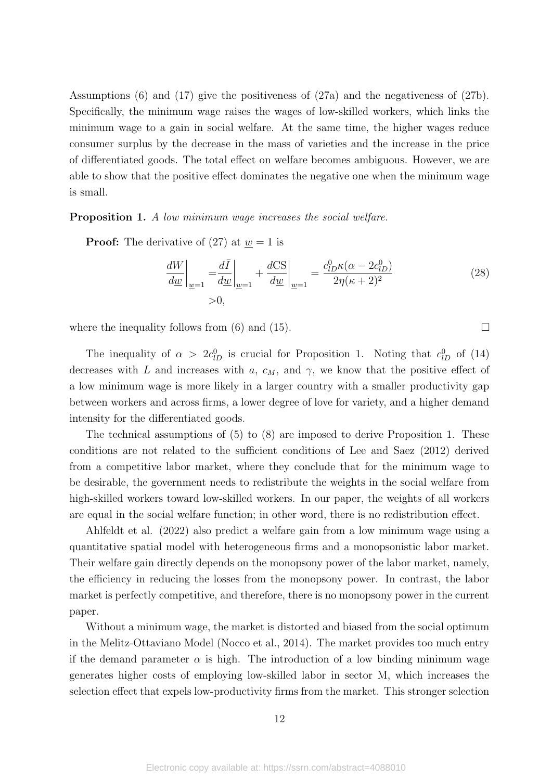Assumptions (6) and (17) give the positiveness of (27a) and the negativeness of (27b). Specifically, the minimum wage raises the wages of low-skilled workers, which links the minimum wage to a gain in social welfare. At the same time, the higher wages reduce consumer surplus by the decrease in the mass of varieties and the increase in the price of differentiated goods. The total effect on welfare becomes ambiguous. However, we are able to show that the positive effect dominates the negative one when the minimum wage is small.

**Proposition 1.** *A low minimum wage increases the social welfare.*

**Proof:** The derivative of (27) at  $w = 1$  is

$$
\frac{dW}{d\underline{w}}\bigg|_{\underline{w}=1} = \frac{d\overline{I}}{d\underline{w}}\bigg|_{\underline{w}=1} + \frac{dCS}{d\underline{w}}\bigg|_{\underline{w}=1} = \frac{c_{lD}^0 \kappa(\alpha - 2c_{lD}^0)}{2\eta(\kappa + 2)^2}
$$
(28)

where the inequality follows from (6) and (15).  $\Box$ 

The inequality of  $\alpha > 2c_{1D}^0$  is crucial for Proposition 1. Noting that  $c_{1D}^0$  of (14) decreases with *L* and increases with *a*,  $c_M$ , and  $\gamma$ , we know that the positive effect of a low minimum wage is more likely in a larger country with a smaller productivity gap between workers and across firms, a lower degree of love for variety, and a higher demand intensity for the differentiated goods.

The technical assumptions of (5) to (8) are imposed to derive Proposition 1. These conditions are not related to the sufficient conditions of Lee and Saez (2012) derived from a competitive labor market, where they conclude that for the minimum wage to be desirable, the government needs to redistribute the weights in the social welfare from high-skilled workers toward low-skilled workers. In our paper, the weights of all workers are equal in the social welfare function; in other word, there is no redistribution effect.

Ahlfeldt et al. (2022) also predict a welfare gain from a low minimum wage using a quantitative spatial model with heterogeneous firms and a monopsonistic labor market. Their welfare gain directly depends on the monopsony power of the labor market, namely, the efficiency in reducing the losses from the monopsony power. In contrast, the labor market is perfectly competitive, and therefore, there is no monopsony power in the current paper.

Without a minimum wage, the market is distorted and biased from the social optimum in the Melitz-Ottaviano Model (Nocco et al., 2014). The market provides too much entry if the demand parameter  $\alpha$  is high. The introduction of a low binding minimum wage generates higher costs of employing low-skilled labor in sector M, which increases the selection effect that expels low-productivity firms from the market. This stronger selection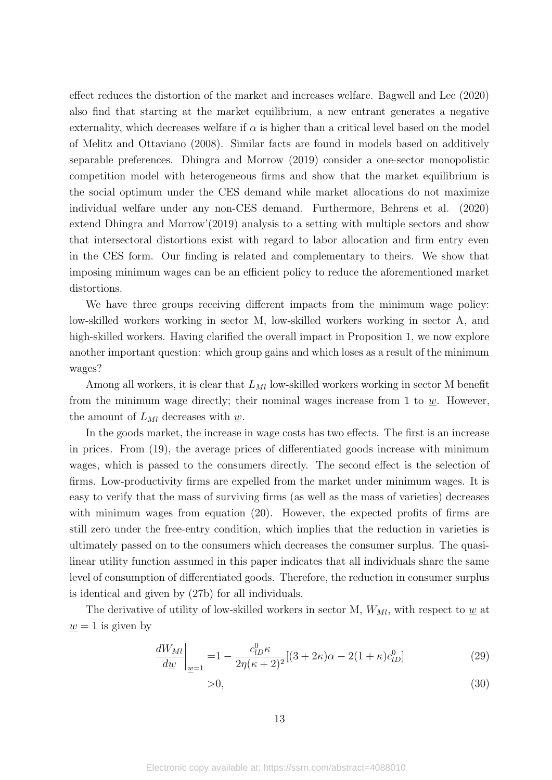effect reduces the distortion of the market and increases welfare. Bagwell and Lee (2020) also find that starting at the market equilibrium, a new entrant generates a negative externality, which decreases welfare if  $\alpha$  is higher than a critical level based on the model of Melitz and Ottaviano (2008). Similar facts are found in models based on additively separable preferences. Dhingra and Morrow (2019) consider a one-sector monopolistic competition model with heterogeneous firms and show that the market equilibrium is the social optimum under the CES demand while market allocations do not maximize individual welfare under any non-CES demand. Furthermore, Behrens et al. (2020) extend Dhingra and Morrow'(2019) analysis to a setting with multiple sectors and show that intersectoral distortions exist with regard to labor allocation and firm entry even in the CES form. Our finding is related and complementary to theirs. We show that imposing minimum wages can be an efficient policy to reduce the aforementioned market distortions.

We have three groups receiving different impacts from the minimum wage policy: low-skilled workers working in sector M, low-skilled workers working in sector A, and high-skilled workers. Having clarified the overall impact in Proposition 1, we now explore another important question: which group gains and which loses as a result of the minimum wages?

Among all workers, it is clear that  $L_{Ml}$  low-skilled workers working in sector M benefit from the minimum wage directly; their nominal wages increase from 1 to  $\underline{w}$ . However, the amount of  $L_{Ml}$  decreases with  $w$ .

In the goods market, the increase in wage costs has two effects. The first is an increase in prices. From (19), the average prices of differentiated goods increase with minimum wages, which is passed to the consumers directly. The second effect is the selection of firms. Low-productivity firms are expelled from the market under minimum wages. It is easy to verify that the mass of surviving firms (as well as the mass of varieties) decreases with minimum wages from equation (20). However, the expected profits of firms are still zero under the free-entry condition, which implies that the reduction in varieties is ultimately passed on to the consumers which decreases the consumer surplus. The quasilinear utility function assumed in this paper indicates that all individuals share the same level of consumption of differentiated goods. Therefore, the reduction in consumer surplus is identical and given by (27b) for all individuals.

The derivative of utility of low-skilled workers in sector M,  $W_{Ml}$ , with respect to  $\underline{w}$  at  $w = 1$  is given by

$$
\frac{dW_{Ml}}{d\underline{w}}\bigg|_{\underline{w}=1} = 1 - \frac{c_{lD}^0 \kappa}{2\eta(\kappa+2)^2} [(3+2\kappa)\alpha - 2(1+\kappa)c_{lD}^0] \tag{29}
$$

$$
>0,\tag{30}
$$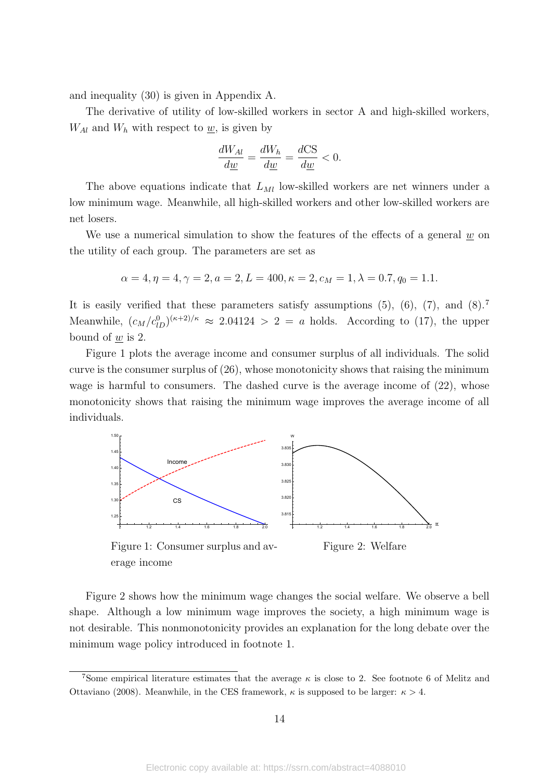and inequality (30) is given in Appendix A.

The derivative of utility of low-skilled workers in sector A and high-skilled workers,  $W_{Al}$  and  $W_h$  with respect to  $\underline{w}$ , is given by

$$
\frac{dW_{Al}}{d\underline{w}} = \frac{dW_h}{d\underline{w}} = \frac{dCS}{d\underline{w}} < 0.
$$

The above equations indicate that  $L_{Ml}$  low-skilled workers are net winners under a low minimum wage. Meanwhile, all high-skilled workers and other low-skilled workers are net losers.

We use a numerical simulation to show the features of the effects of a general  $\underline{w}$  on the utility of each group. The parameters are set as

$$
\alpha = 4, \eta = 4, \gamma = 2, a = 2, L = 400, \kappa = 2, c_M = 1, \lambda = 0.7, q_0 = 1.1.
$$

It is easily verified that these parameters satisfy assumptions  $(5)$ ,  $(6)$ ,  $(7)$ , and  $(8)$ .<sup>7</sup> Meanwhile,  $(c_M/c_{1D}^0)^{(\kappa+2)/\kappa} \approx 2.04124 > 2 = a$  holds. According to (17), the upper bound of *w* is 2.

Figure 1 plots the average income and consumer surplus of all individuals. The solid curve is the consumer surplus of (26), whose monotonicity shows that raising the minimum wage is harmful to consumers. The dashed curve is the average income of  $(22)$ , whose monotonicity shows that raising the minimum wage improves the average income of all individuals.



Figure 1: Consumer surplus and average income

Figure 2: Welfare

Figure 2 shows how the minimum wage changes the social welfare. We observe a bell shape. Although a low minimum wage improves the society, a high minimum wage is not desirable. This nonmonotonicity provides an explanation for the long debate over the minimum wage policy introduced in footnote 1.

<sup>7</sup>Some empirical literature estimates that the average *κ* is close to 2. See footnote 6 of Melitz and Ottaviano (2008). Meanwhile, in the CES framework,  $\kappa$  is supposed to be larger:  $\kappa > 4$ .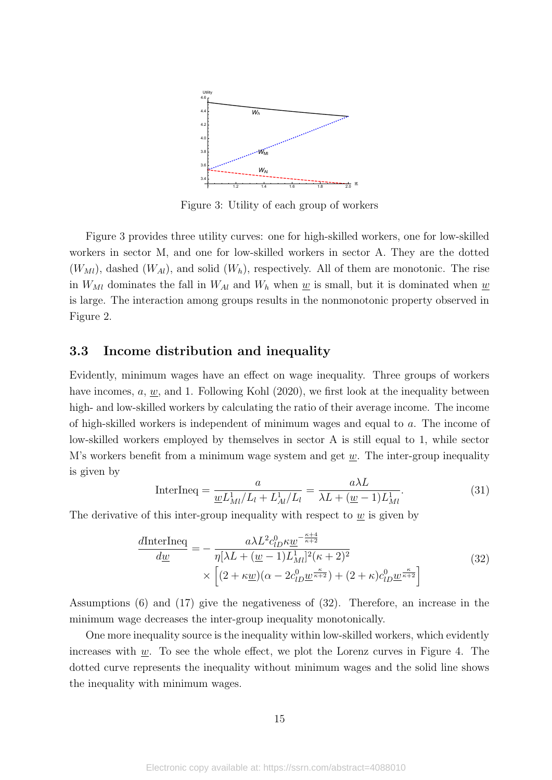

Figure 3: Utility of each group of workers

Figure 3 provides three utility curves: one for high-skilled workers, one for low-skilled workers in sector M, and one for low-skilled workers in sector A. They are the dotted  $(W_{Ml})$ , dashed  $(W_{Al})$ , and solid  $(W_h)$ , respectively. All of them are monotonic. The rise in  $W_{M}$  dominates the fall in  $W_{A}$  and  $W_{h}$  when  $w$  is small, but it is dominated when  $w$ is large. The interaction among groups results in the nonmonotonic property observed in Figure 2.

#### **3.3 Income distribution and inequality**

Evidently, minimum wages have an effect on wage inequality. Three groups of workers have incomes, *a*, *w*, and 1. Following Kohl (2020), we first look at the inequality between high- and low-skilled workers by calculating the ratio of their average income. The income of high-skilled workers is independent of minimum wages and equal to *a*. The income of low-skilled workers employed by themselves in sector A is still equal to 1, while sector M's workers benefit from a minimum wage system and get *w*. The inter-group inequality is given by

InterIneq = 
$$
\frac{a}{\underline{w}L_{Ml}^{1}/L_{l} + L_{Al}^{1}/L_{l}} = \frac{a\lambda L}{\lambda L + (\underline{w} - 1)L_{Ml}^{1}}.
$$
 (31)

The derivative of this inter-group inequality with respect to *w* is given by

$$
\frac{d\text{InterIneq}}{d\underline{w}} = -\frac{a\lambda L^2 c_{lD}^0 \kappa \underline{w}^{-\frac{\kappa+4}{\kappa+2}}}{\eta[\lambda L + (\underline{w}-1)L_{Ml}^1]^2(\kappa+2)^2} \times \left[ (2 + \kappa \underline{w})(\alpha - 2c_{lD}^0 \underline{w}^{\frac{\kappa}{\kappa+2}}) + (2 + \kappa)c_{lD}^0 \underline{w}^{\frac{\kappa}{\kappa+2}} \right]
$$
\n(32)

Assumptions (6) and (17) give the negativeness of (32). Therefore, an increase in the minimum wage decreases the inter-group inequality monotonically.

One more inequality source is the inequality within low-skilled workers, which evidently increases with *w*. To see the whole effect, we plot the Lorenz curves in Figure 4. The dotted curve represents the inequality without minimum wages and the solid line shows the inequality with minimum wages.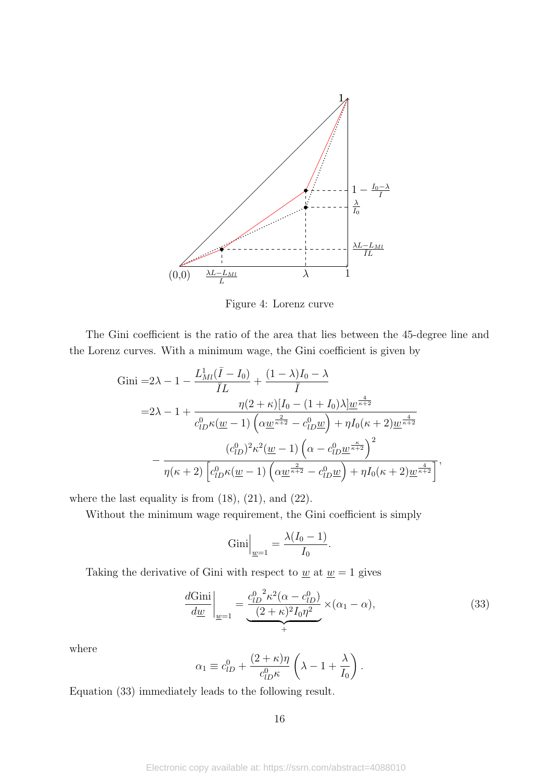

Figure 4: Lorenz curve

The Gini coefficient is the ratio of the area that lies between the 45-degree line and the Lorenz curves. With a minimum wage, the Gini coefficient is given by

Gini =2
$$
\lambda
$$
 - 1 -  $\frac{L_{Ml}^{1}(\bar{I} - I_0)}{\bar{I}L} + \frac{(1 - \lambda)I_0 - \lambda}{\bar{I}}$   
\n=2 $\lambda$  - 1 +  $\frac{\eta(2 + \kappa)[I_0 - (1 + I_0)\lambda] \underline{w}^{\frac{4}{\kappa + 2}}}{c_{lD}^{0}\kappa(\underline{w} - 1)\left(\alpha \underline{w}^{\frac{2}{\kappa + 2}} - c_{lD}^{0}\underline{w}\right) + \eta I_0(\kappa + 2)\underline{w}^{\frac{4}{\kappa + 2}}}$   
\n $-\frac{(c_{lD}^{0})^2 \kappa^2(\underline{w} - 1)\left(\alpha - c_{lD}^{0}\underline{w}^{\frac{\kappa}{\kappa + 2}}\right)^2}{\eta(\kappa + 2)\left[c_{lD}^{0}\kappa(\underline{w} - 1)\left(\alpha \underline{w}^{\frac{2}{\kappa + 2}} - c_{lD}^{0}\underline{w}\right) + \eta I_0(\kappa + 2)\underline{w}^{\frac{4}{\kappa + 2}}\right]},$ 

where the last equality is from  $(18)$ ,  $(21)$ , and  $(22)$ .

Without the minimum wage requirement, the Gini coefficient is simply

$$
Gini\Big|_{\underline{w}=1} = \frac{\lambda(I_0 - 1)}{I_0}.
$$

Taking the derivative of Gini with respect to  $\underline{w}$  at  $\underline{w} = 1$  gives

$$
\frac{d\text{Gini}}{d\underline{w}}\bigg|_{\underline{w}=1} = \underbrace{\frac{c_{lD}^{0^2} \kappa^2 (\alpha - c_{lD}^0)}{(2 + \kappa)^2 I_0 \eta^2}}_{+} \times (\alpha_1 - \alpha),\tag{33}
$$

where

$$
\alpha_1 \equiv c_{lD}^0 + \frac{(2+\kappa)\eta}{c_{lD}^0 \kappa} \left(\lambda - 1 + \frac{\lambda}{I_0}\right).
$$

Equation (33) immediately leads to the following result.

16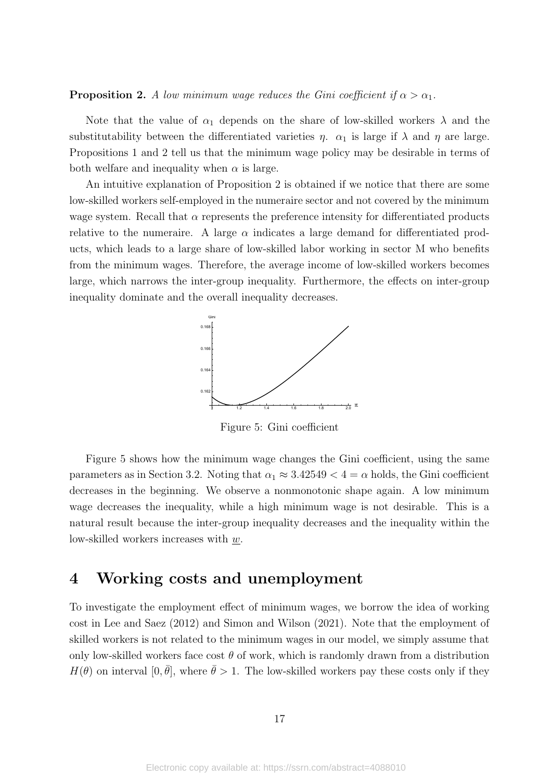**Proposition 2.** *A low minimum wage reduces the Gini coefficient if*  $\alpha > \alpha_1$ *.* 

Note that the value of  $\alpha_1$  depends on the share of low-skilled workers  $\lambda$  and the substitutability between the differentiated varieties  $\eta$ .  $\alpha_1$  is large if  $\lambda$  and  $\eta$  are large. Propositions 1 and 2 tell us that the minimum wage policy may be desirable in terms of both welfare and inequality when  $\alpha$  is large.

An intuitive explanation of Proposition 2 is obtained if we notice that there are some low-skilled workers self-employed in the numeraire sector and not covered by the minimum wage system. Recall that  $\alpha$  represents the preference intensity for differentiated products relative to the numeraire. A large  $\alpha$  indicates a large demand for differentiated products, which leads to a large share of low-skilled labor working in sector M who benefits from the minimum wages. Therefore, the average income of low-skilled workers becomes large, which narrows the inter-group inequality. Furthermore, the effects on inter-group inequality dominate and the overall inequality decreases.



Figure 5: Gini coefficient

Figure 5 shows how the minimum wage changes the Gini coefficient, using the same parameters as in Section 3.2. Noting that  $\alpha_1 \approx 3.42549 < 4 = \alpha$  holds, the Gini coefficient decreases in the beginning. We observe a nonmonotonic shape again. A low minimum wage decreases the inequality, while a high minimum wage is not desirable. This is a natural result because the inter-group inequality decreases and the inequality within the low-skilled workers increases with *w*.

### **4 Working costs and unemployment**

To investigate the employment effect of minimum wages, we borrow the idea of working cost in Lee and Saez (2012) and Simon and Wilson (2021). Note that the employment of skilled workers is not related to the minimum wages in our model, we simply assume that only low-skilled workers face cost  $\theta$  of work, which is randomly drawn from a distribution  $H(\theta)$  on interval  $[0, \bar{\theta}]$ , where  $\bar{\theta} > 1$ . The low-skilled workers pay these costs only if they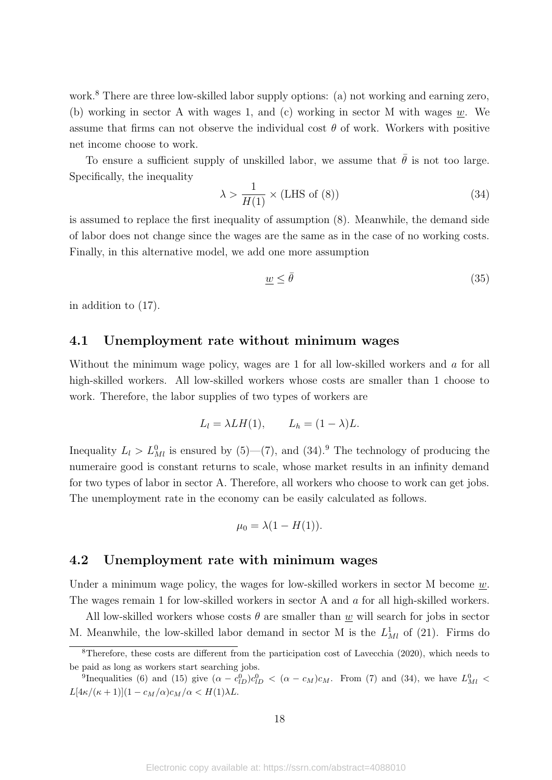work.<sup>8</sup> There are three low-skilled labor supply options: (a) not working and earning zero, (b) working in sector A with wages 1, and (c) working in sector M with wages *w*. We assume that firms can not observe the individual cost  $\theta$  of work. Workers with positive net income choose to work.

To ensure a sufficient supply of unskilled labor, we assume that  $\bar{\theta}$  is not too large. Specifically, the inequality

$$
\lambda > \frac{1}{H(1)} \times (\text{LHS of (8)})\tag{34}
$$

is assumed to replace the first inequality of assumption (8). Meanwhile, the demand side of labor does not change since the wages are the same as in the case of no working costs. Finally, in this alternative model, we add one more assumption

$$
\underline{w} \le \bar{\theta} \tag{35}
$$

in addition to (17).

#### **4.1 Unemployment rate without minimum wages**

Without the minimum wage policy, wages are 1 for all low-skilled workers and *a* for all high-skilled workers. All low-skilled workers whose costs are smaller than 1 choose to work. Therefore, the labor supplies of two types of workers are

$$
L_l = \lambda L H(1), \qquad L_h = (1 - \lambda)L.
$$

Inequality  $L_l > L_{Ml}^0$  is ensured by (5)–(7), and (34).<sup>9</sup> The technology of producing the numeraire good is constant returns to scale, whose market results in an infinity demand for two types of labor in sector A. Therefore, all workers who choose to work can get jobs. The unemployment rate in the economy can be easily calculated as follows.

$$
\mu_0 = \lambda(1 - H(1)).
$$

#### **4.2 Unemployment rate with minimum wages**

Under a minimum wage policy, the wages for low-skilled workers in sector M become *w*. The wages remain 1 for low-skilled workers in sector A and *a* for all high-skilled workers.

All low-skilled workers whose costs  $\theta$  are smaller than  $\underline{w}$  will search for jobs in sector M. Meanwhile, the low-skilled labor demand in sector M is the  $L<sub>Ml</sub><sup>1</sup>$  of (21). Firms do

<sup>&</sup>lt;sup>8</sup>Therefore, these costs are different from the participation cost of Lavecchia (2020), which needs to be paid as long as workers start searching jobs.

<sup>&</sup>lt;sup>9</sup>Inequalities (6) and (15) give  $(α - c_{1D}^0)c_{1D}^0 < (α - c_M)c_M$ . From (7) and (34), we have  $L_{MI}^0$  <  $L[4\kappa/(\kappa+1)](1-c_M/\alpha)c_M/\alpha < H(1)\lambda L$ .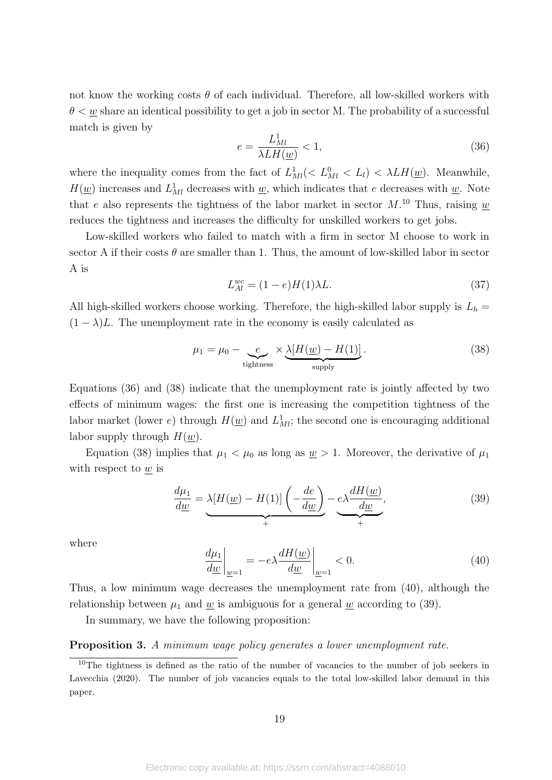not know the working costs  $\theta$  of each individual. Therefore, all low-skilled workers with  $\theta < w$  share an identical possibility to get a job in sector M. The probability of a successful match is given by

$$
e = \frac{L_{Ml}^1}{\lambda L H(\underline{w})} < 1,\tag{36}
$$

where the inequality comes from the fact of  $L_{MI}^1(< L_{MI}^0 < L_l$ ) <  $\lambda L H(\underline{w})$ . Meanwhile,  $H(\underline{w})$  increases and  $L<sup>1</sup><sub>Ml</sub>$  decreases with <u>w</u>, which indicates that *e* decreases with <u>w</u>. Note that *e* also represents the tightness of the labor market in sector  $M$ .<sup>10</sup> Thus, raising  $\underline{w}$ reduces the tightness and increases the difficulty for unskilled workers to get jobs.

Low-skilled workers who failed to match with a firm in sector M choose to work in sector A if their costs  $\theta$  are smaller than 1. Thus, the amount of low-skilled labor in sector A is

$$
L_{Al}^{wc} = (1 - e)H(1)\lambda L. \tag{37}
$$

All high-skilled workers choose working. Therefore, the high-skilled labor supply is  $L_h$  =  $(1 - \lambda)L$ . The unemployment rate in the economy is easily calculated as

$$
\mu_1 = \mu_0 - \underbrace{e}_{\text{tightness}} \times \underbrace{\lambda[H(\underline{w}) - H(1)]}_{\text{supply}}.
$$
\n(38)

Equations (36) and (38) indicate that the unemployment rate is jointly affected by two effects of minimum wages: the first one is increasing the competition tightness of the labor market (lower *e*) through  $H(\underline{w})$  and  $L<sup>1</sup><sub>Mi</sub>$ ; the second one is encouraging additional labor supply through *H*(*w*).

Equation (38) implies that  $\mu_1 < \mu_0$  as long as  $\underline{w} > 1$ . Moreover, the derivative of  $\mu_1$ with respect to *w* is

$$
\frac{d\mu_1}{d\underline{w}} = \underbrace{\lambda[H(\underline{w}) - H(1)] \left( -\frac{de}{d\underline{w}} \right)}_{+} - \underbrace{e \lambda \frac{dH(\underline{w})}{d\underline{w}}}_{+},
$$
\n(39)

where

$$
\left. \frac{d\mu_1}{d\underline{w}} \right|_{\underline{w}=1} = -e\lambda \frac{dH(\underline{w})}{d\underline{w}} \bigg|_{\underline{w}=1} < 0. \tag{40}
$$

Thus, a low minimum wage decreases the unemployment rate from (40), although the relationship between  $\mu_1$  and  $w$  is ambiguous for a general  $w$  according to (39).

In summary, we have the following proposition:

#### **Proposition 3.** *A minimum wage policy generates a lower unemployment rate.*

 $10$ The tightness is defined as the ratio of the number of vacancies to the number of job seekers in Lavecchia (2020). The number of job vacancies equals to the total low-skilled labor demand in this paper.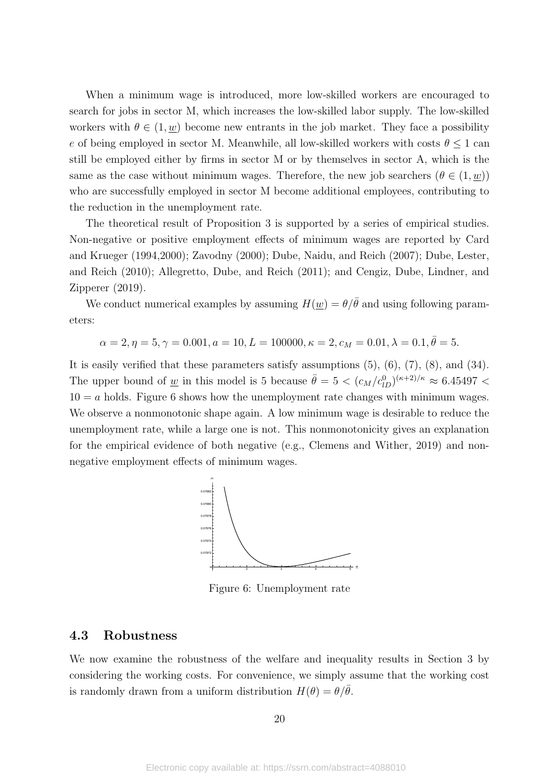When a minimum wage is introduced, more low-skilled workers are encouraged to search for jobs in sector M, which increases the low-skilled labor supply. The low-skilled workers with  $\theta \in (1, w)$  become new entrants in the job market. They face a possibility *e* of being employed in sector M. Meanwhile, all low-skilled workers with costs  $\theta \leq 1$  can still be employed either by firms in sector M or by themselves in sector A, which is the same as the case without minimum wages. Therefore, the new job searchers  $(\theta \in (1, \underline{w}))$ who are successfully employed in sector M become additional employees, contributing to the reduction in the unemployment rate.

The theoretical result of Proposition 3 is supported by a series of empirical studies. Non-negative or positive employment effects of minimum wages are reported by Card and Krueger (1994,2000); Zavodny (2000); Dube, Naidu, and Reich (2007); Dube, Lester, and Reich (2010); Allegretto, Dube, and Reich (2011); and Cengiz, Dube, Lindner, and Zipperer (2019).

We conduct numerical examples by assuming  $H(\underline{w}) = \theta/\overline{\theta}$  and using following parameters:

$$
\alpha = 2, \eta = 5, \gamma = 0.001, a = 10, L = 100000, \kappa = 2, c_M = 0.01, \lambda = 0.1, \bar{\theta} = 5.
$$

It is easily verified that these parameters satisfy assumptions  $(5)$ ,  $(6)$ ,  $(7)$ ,  $(8)$ , and  $(34)$ . The upper bound of <u>*w*</u> in this model is 5 because  $\bar{\theta} = 5 < (c_M/c_{1D}^0)^{(\kappa+2)/\kappa} \approx 6.45497 <$  $10 = a$  holds. Figure 6 shows how the unemployment rate changes with minimum wages. We observe a nonmonotonic shape again. A low minimum wage is desirable to reduce the unemployment rate, while a large one is not. This nonmonotonicity gives an explanation for the empirical evidence of both negative (e.g., Clemens and Wither, 2019) and nonnegative employment effects of minimum wages.



Figure 6: Unemployment rate

#### **4.3 Robustness**

We now examine the robustness of the welfare and inequality results in Section 3 by considering the working costs. For convenience, we simply assume that the working cost is randomly drawn from a uniform distribution  $H(\theta) = \theta/\overline{\theta}$ .

20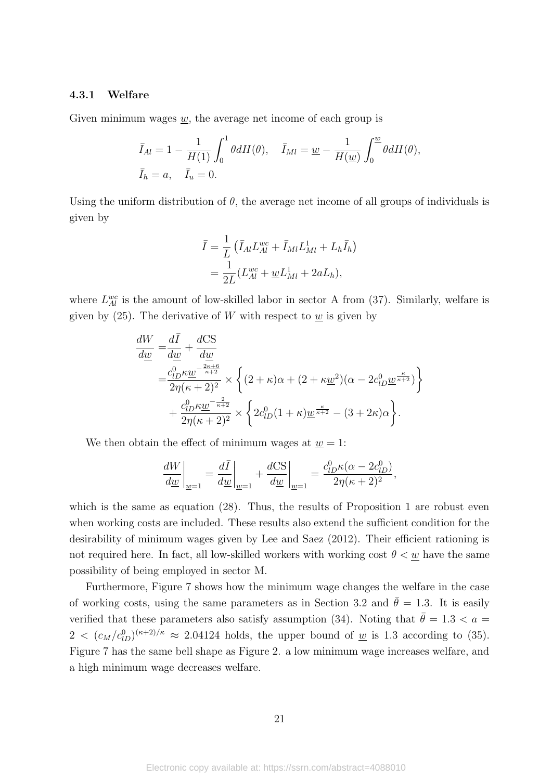#### **4.3.1 Welfare**

Given minimum wages *w*, the average net income of each group is

$$
\overline{I}_{Al} = 1 - \frac{1}{H(1)} \int_0^1 \theta dH(\theta), \quad \overline{I}_{Ml} = \underline{w} - \frac{1}{H(\underline{w})} \int_0^{\underline{w}} \theta dH(\theta),
$$
  

$$
\overline{I}_h = a, \quad \overline{I}_u = 0.
$$

Using the uniform distribution of  $\theta$ , the average net income of all groups of individuals is given by

$$
\bar{I} = \frac{1}{L} \left( \bar{I}_{Al} L_{Al}^{wc} + \bar{I}_{Ml} L_{Ml}^{1} + L_{h} \bar{I}_{h} \right)
$$
  
= 
$$
\frac{1}{2L} (L_{Al}^{wc} + \underline{w} L_{Ml}^{1} + 2a L_{h}),
$$

where  $L_{Al}^{wc}$  is the amount of low-skilled labor in sector A from (37). Similarly, welfare is given by  $(25)$ . The derivative of *W* with respect to <u>*w*</u> is given by

$$
\frac{dW}{d\underline{w}} = \frac{d\overline{I}}{d\underline{w}} + \frac{dCS}{d\underline{w}} \n= \frac{c_{lD}^0 \kappa \underline{w}}{2\eta(\kappa + 2)^2} \times \left\{ (2 + \kappa)\alpha + (2 + \kappa \underline{w}^2)(\alpha - 2c_{lD}^0 \underline{w}^{\frac{\kappa}{\kappa + 2}}) \right\} \n+ \frac{c_{lD}^0 \kappa \underline{w}}{2\eta(\kappa + 2)^2} \times \left\{ 2c_{lD}^0 (1 + \kappa) \underline{w}^{\frac{\kappa}{\kappa + 2}} - (3 + 2\kappa)\alpha \right\}.
$$

We then obtain the effect of minimum wages at  $w = 1$ :

$$
\frac{dW}{d\underline{w}}\bigg|_{\underline{w}=1} = \frac{d\overline{I}}{d\underline{w}}\bigg|_{\underline{w}=1} + \frac{d\text{CS}}{d\underline{w}}\bigg|_{\underline{w}=1} = \frac{c_{lD}^0 \kappa(\alpha - 2c_{lD}^0)}{2\eta(\kappa + 2)^2},
$$

which is the same as equation (28). Thus, the results of Proposition 1 are robust even when working costs are included. These results also extend the sufficient condition for the desirability of minimum wages given by Lee and Saez (2012). Their efficient rationing is not required here. In fact, all low-skilled workers with working cost  $\theta < \underline{w}$  have the same possibility of being employed in sector M.

Furthermore, Figure 7 shows how the minimum wage changes the welfare in the case of working costs, using the same parameters as in Section 3.2 and  $\bar{\theta} = 1.3$ . It is easily verified that these parameters also satisfy assumption (34). Noting that  $\bar{\theta} = 1.3 < a$  $2 < (c_M/c_{lD}^0)^{(\kappa+2)/\kappa} \approx 2.04124$  holds, the upper bound of <u>*w*</u> is 1.3 according to (35). Figure 7 has the same bell shape as Figure 2. a low minimum wage increases welfare, and a high minimum wage decreases welfare.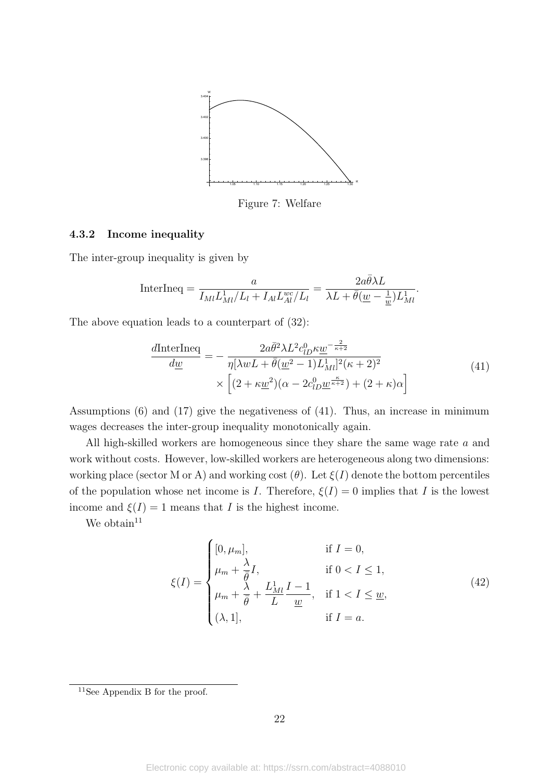

Figure 7: Welfare

#### **4.3.2 Income inequality**

The inter-group inequality is given by

InterIneq = 
$$
\frac{a}{I_{Ml}L_{Ml}^{1}/L_{l} + I_{Al}L_{Al}^{wc}/L_{l}} = \frac{2a\bar{\theta}\lambda L}{\lambda L + \bar{\theta}(\underline{w} - \frac{1}{\underline{w}})L_{Ml}^{1}}.
$$

The above equation leads to a counterpart of (32):

$$
\frac{d\text{InterIneq}}{d\underline{w}} = -\frac{2a\bar{\theta}^2\lambda L^2 c_{lD}^0 \kappa \underline{w}^{-\frac{2}{\kappa+2}}}{\eta[\lambda w L + \bar{\theta}(\underline{w}^2 - 1)L_{Ml}^1]^2(\kappa + 2)^2} \times \left[ (2 + \kappa \underline{w}^2)(\alpha - 2c_{lD}^0 \underline{w}^{\frac{\kappa}{\kappa+2}}) + (2 + \kappa)\alpha \right]
$$
\n(41)

Assumptions (6) and (17) give the negativeness of (41). Thus, an increase in minimum wages decreases the inter-group inequality monotonically again.

All high-skilled workers are homogeneous since they share the same wage rate *a* and work without costs. However, low-skilled workers are heterogeneous along two dimensions: working place (sector M or A) and working cost  $(\theta)$ . Let  $\xi(I)$  denote the bottom percentiles of the population whose net income is *I*. Therefore,  $\xi(I) = 0$  implies that *I* is the lowest income and  $\xi(I) = 1$  means that *I* is the highest income.

We obtain  $11$ 

$$
\xi(I) = \begin{cases}\n[0, \mu_m], & \text{if } I = 0, \\
\mu_m + \frac{\lambda}{\overline{\theta}}I, & \text{if } 0 < I \le 1, \\
\mu_m + \frac{\lambda}{\overline{\theta}} + \frac{L_M^1}{L}I - 1, & \text{if } 1 < I \le \underline{w}, \\
(\lambda, 1], & \text{if } I = a.\n\end{cases}
$$
\n(42)

<sup>11</sup>See Appendix B for the proof.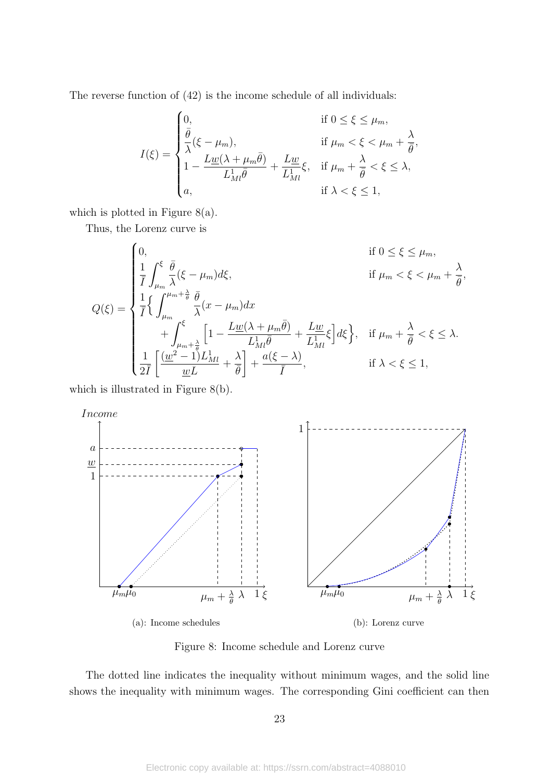The reverse function of (42) is the income schedule of all individuals:

$$
I(\xi) = \begin{cases} 0, & \text{if } 0 \leq \xi \leq \mu_m, \\ \frac{\bar{\theta}}{\lambda}(\xi - \mu_m), & \text{if } \mu_m < \xi < \mu_m + \frac{\lambda}{\bar{\theta}}, \\ 1 - \frac{L\underline{w}(\lambda + \mu_m \bar{\theta})}{L_M^1 \bar{\theta}} + \frac{L\underline{w}}{L_M^1} \xi, & \text{if } \mu_m + \frac{\lambda}{\bar{\theta}} < \xi \leq \lambda, \\ a, & \text{if } \lambda < \xi \leq 1, \end{cases}
$$

which is plotted in Figure  $8(a)$ .

Thus, the Lorenz curve is

$$
Q(\xi) = \begin{cases} 0, & \text{if } 0 \leq \xi \leq \mu_m, \\ \frac{1}{\bar{I}} \int_{\mu_m}^{\xi} \frac{\bar{\theta}}{\lambda} (\xi - \mu_m) d\xi, & \text{if } \mu_m < \xi < \mu_m + \frac{\lambda}{\bar{\theta}}, \\ \frac{1}{\bar{I}} \left\{ \int_{\mu_m}^{\mu_m + \frac{\lambda}{\bar{\theta}}} \frac{\bar{\theta}}{\lambda} (x - \mu_m) dx \\ & \quad + \int_{\mu_m + \frac{\lambda}{\bar{\theta}}}^{\xi} \left[ 1 - \frac{L \underline{w} (\lambda + \mu_m \bar{\theta})}{L_{Ml}^1 \bar{\theta}} + \frac{L \underline{w}}{L_{Ml}^1} \xi \right] d\xi \right\}, & \text{if } \mu_m + \frac{\lambda}{\bar{\theta}} < \xi \leq \lambda. \\ \frac{1}{2\bar{I}} \left[ \frac{(\underline{w}^2 - 1)L_{Ml}}{\underline{w}L} + \frac{\lambda}{\bar{\theta}} \right] + \frac{a(\xi - \lambda)}{\bar{I}}, & \text{if } \lambda < \xi \leq 1, \end{cases}
$$

which is illustrated in Figure 8(b).



Figure 8: Income schedule and Lorenz curve

The dotted line indicates the inequality without minimum wages, and the solid line shows the inequality with minimum wages. The corresponding Gini coefficient can then

23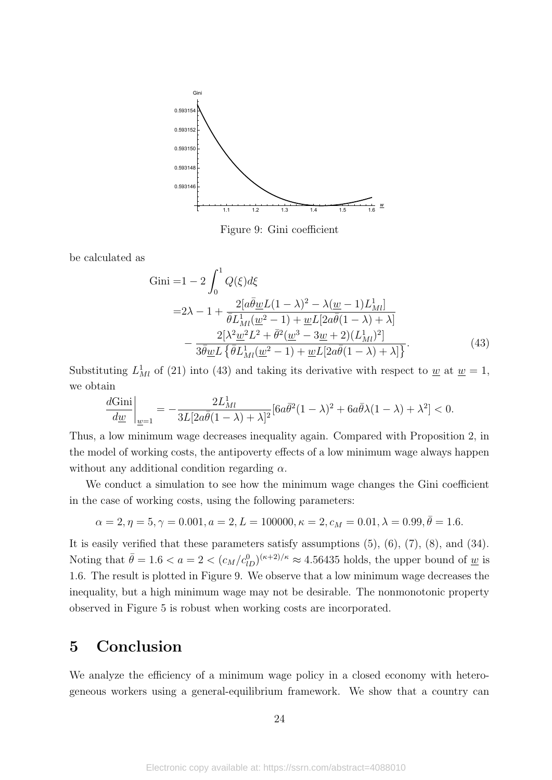

Figure 9: Gini coefficient

be calculated as

Gini =1 - 2 
$$
\int_0^1 Q(\xi) d\xi
$$
  
\n=2 $\lambda$  - 1 +  $\frac{2[a\bar{\theta}\underline{w}L(1-\lambda)^2 - \lambda(\underline{w}-1)L_M^1]}{\bar{\theta}L_M^1(\underline{w}^2 - 1) + \underline{w}L[2a\bar{\theta}(1-\lambda) + \lambda]}$   
\n-  $\frac{2[\lambda^2\underline{w}^2L^2 + \bar{\theta}^2(\underline{w}^3 - 3\underline{w} + 2)(L_M^1)^2]}{3\bar{\theta}\underline{w}L\{\bar{\theta}L_M^1(\underline{w}^2 - 1) + \underline{w}L[2a\bar{\theta}(1-\lambda) + \lambda]\}}.$  (43)

Substituting  $L<sup>1</sup><sub>Ml</sub>$  of (21) into (43) and taking its derivative with respect to <u>w</u> at  $\underline{w} = 1$ , we obtain

$$
\frac{d\mbox{Gini}}{d\underline{w}}\bigg|_{\underline{w}=1}=-\frac{2L_M^1}{3L[2a\bar\theta(1-\lambda)+\lambda]^2}[6a\bar\theta^2(1-\lambda)^2+6a\bar\theta\lambda(1-\lambda)+\lambda^2]<0.
$$

Thus, a low minimum wage decreases inequality again. Compared with Proposition 2, in the model of working costs, the antipoverty effects of a low minimum wage always happen without any additional condition regarding *α*.

We conduct a simulation to see how the minimum wage changes the Gini coefficient in the case of working costs, using the following parameters:

$$
\alpha = 2, \eta = 5, \gamma = 0.001, a = 2, L = 100000, \kappa = 2, c_M = 0.01, \lambda = 0.99, \bar{\theta} = 1.6.
$$

It is easily verified that these parameters satisfy assumptions (5), (6), (7), (8), and (34). Noting that  $\bar{\theta} = 1.6 < a = 2 < (c_M/c_{lD}^0)^{(\kappa+2)/\kappa} \approx 4.56435$  holds, the upper bound of <u>*w*</u> is 1*.*6. The result is plotted in Figure 9. We observe that a low minimum wage decreases the inequality, but a high minimum wage may not be desirable. The nonmonotonic property observed in Figure 5 is robust when working costs are incorporated.

## **5 Conclusion**

We analyze the efficiency of a minimum wage policy in a closed economy with heterogeneous workers using a general-equilibrium framework. We show that a country can

24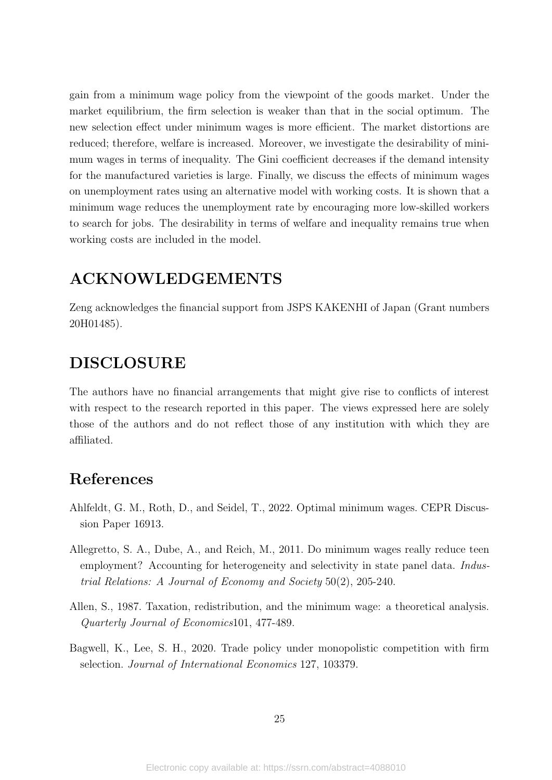gain from a minimum wage policy from the viewpoint of the goods market. Under the market equilibrium, the firm selection is weaker than that in the social optimum. The new selection effect under minimum wages is more efficient. The market distortions are reduced; therefore, welfare is increased. Moreover, we investigate the desirability of minimum wages in terms of inequality. The Gini coefficient decreases if the demand intensity for the manufactured varieties is large. Finally, we discuss the effects of minimum wages on unemployment rates using an alternative model with working costs. It is shown that a minimum wage reduces the unemployment rate by encouraging more low-skilled workers to search for jobs. The desirability in terms of welfare and inequality remains true when working costs are included in the model.

### **ACKNOWLEDGEMENTS**

Zeng acknowledges the financial support from JSPS KAKENHI of Japan (Grant numbers 20H01485).

# **DISCLOSURE**

The authors have no financial arrangements that might give rise to conflicts of interest with respect to the research reported in this paper. The views expressed here are solely those of the authors and do not reflect those of any institution with which they are affiliated.

## **References**

- Ahlfeldt, G. M., Roth, D., and Seidel, T., 2022. Optimal minimum wages. CEPR Discussion Paper 16913.
- Allegretto, S. A., Dube, A., and Reich, M., 2011. Do minimum wages really reduce teen employment? Accounting for heterogeneity and selectivity in state panel data. *Industrial Relations: A Journal of Economy and Society* 50(2), 205-240.
- Allen, S., 1987. Taxation, redistribution, and the minimum wage: a theoretical analysis. *Quarterly Journal of Economics*101, 477-489.
- Bagwell, K., Lee, S. H., 2020. Trade policy under monopolistic competition with firm selection. *Journal of International Economics* 127, 103379.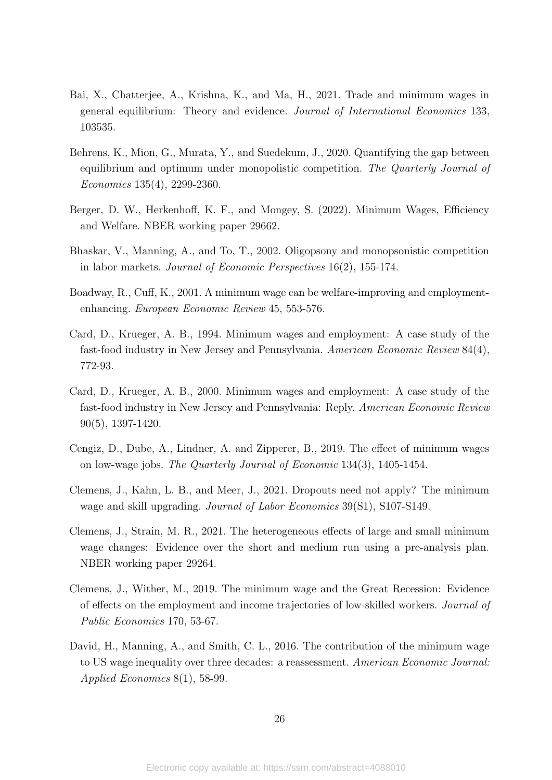- Bai, X., Chatterjee, A., Krishna, K., and Ma, H., 2021. Trade and minimum wages in general equilibrium: Theory and evidence. *Journal of International Economics* 133, 103535.
- Behrens, K., Mion, G., Murata, Y., and Suedekum, J., 2020. Quantifying the gap between equilibrium and optimum under monopolistic competition. *The Quarterly Journal of Economics* 135(4), 2299-2360.
- Berger, D. W., Herkenhoff, K. F., and Mongey, S. (2022). Minimum Wages, Efficiency and Welfare. NBER working paper 29662.
- Bhaskar, V., Manning, A., and To, T., 2002. Oligopsony and monopsonistic competition in labor markets. *Journal of Economic Perspectives* 16(2), 155-174.
- Boadway, R., Cuff, K., 2001. A minimum wage can be welfare-improving and employmentenhancing. *European Economic Review* 45, 553-576.
- Card, D., Krueger, A. B., 1994. Minimum wages and employment: A case study of the fast-food industry in New Jersey and Pennsylvania. *American Economic Review* 84(4), 772-93.
- Card, D., Krueger, A. B., 2000. Minimum wages and employment: A case study of the fast-food industry in New Jersey and Pennsylvania: Reply. *American Economic Review* 90(5), 1397-1420.
- Cengiz, D., Dube, A., Lindner, A. and Zipperer, B., 2019. The effect of minimum wages on low-wage jobs. *The Quarterly Journal of Economic* 134(3), 1405-1454.
- Clemens, J., Kahn, L. B., and Meer, J., 2021. Dropouts need not apply? The minimum wage and skill upgrading. *Journal of Labor Economics* 39(S1), S107-S149.
- Clemens, J., Strain, M. R., 2021. The heterogeneous effects of large and small minimum wage changes: Evidence over the short and medium run using a pre-analysis plan. NBER working paper 29264.
- Clemens, J., Wither, M., 2019. The minimum wage and the Great Recession: Evidence of effects on the employment and income trajectories of low-skilled workers. *Journal of Public Economics* 170, 53-67.
- David, H., Manning, A., and Smith, C. L., 2016. The contribution of the minimum wage to US wage inequality over three decades: a reassessment. *American Economic Journal: Applied Economics* 8(1), 58-99.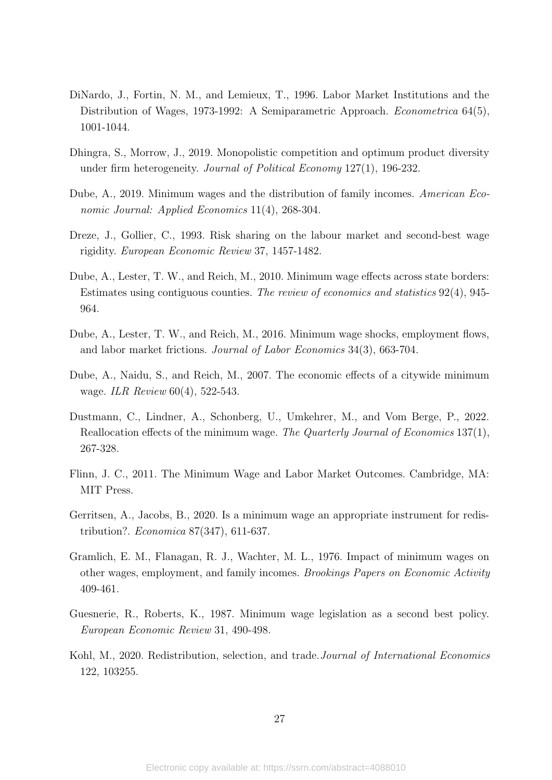- DiNardo, J., Fortin, N. M., and Lemieux, T., 1996. Labor Market Institutions and the Distribution of Wages, 1973-1992: A Semiparametric Approach. *Econometrica* 64(5), 1001-1044.
- Dhingra, S., Morrow, J., 2019. Monopolistic competition and optimum product diversity under firm heterogeneity. *Journal of Political Economy* 127(1), 196-232.
- Dube, A., 2019. Minimum wages and the distribution of family incomes. *American Economic Journal: Applied Economics* 11(4), 268-304.
- Dreze, J., Gollier, C., 1993. Risk sharing on the labour market and second-best wage rigidity. *European Economic Review* 37, 1457-1482.
- Dube, A., Lester, T. W., and Reich, M., 2010. Minimum wage effects across state borders: Estimates using contiguous counties. *The review of economics and statistics* 92(4), 945- 964.
- Dube, A., Lester, T. W., and Reich, M., 2016. Minimum wage shocks, employment flows, and labor market frictions. *Journal of Labor Economics* 34(3), 663-704.
- Dube, A., Naidu, S., and Reich, M., 2007. The economic effects of a citywide minimum wage. *ILR Review* 60(4), 522-543.
- Dustmann, C., Lindner, A., Schonberg, U., Umkehrer, M., and Vom Berge, P., 2022. Reallocation effects of the minimum wage. *The Quarterly Journal of Economics* 137(1), 267-328.
- Flinn, J. C., 2011. The Minimum Wage and Labor Market Outcomes. Cambridge, MA: MIT Press.
- Gerritsen, A., Jacobs, B., 2020. Is a minimum wage an appropriate instrument for redistribution?. *Economica* 87(347), 611-637.
- Gramlich, E. M., Flanagan, R. J., Wachter, M. L., 1976. Impact of minimum wages on other wages, employment, and family incomes. *Brookings Papers on Economic Activity* 409-461.
- Guesnerie, R., Roberts, K., 1987. Minimum wage legislation as a second best policy. *European Economic Review* 31, 490-498.
- Kohl, M., 2020. Redistribution, selection, and trade.*Journal of International Economics* 122, 103255.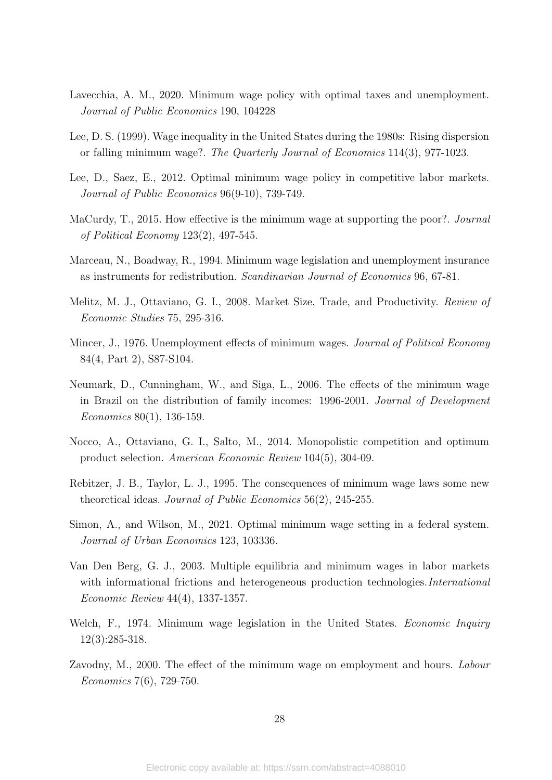- Lavecchia, A. M., 2020. Minimum wage policy with optimal taxes and unemployment. *Journal of Public Economics* 190, 104228
- Lee, D. S. (1999). Wage inequality in the United States during the 1980s: Rising dispersion or falling minimum wage?. *The Quarterly Journal of Economics* 114(3), 977-1023.
- Lee, D., Saez, E., 2012. Optimal minimum wage policy in competitive labor markets. *Journal of Public Economics* 96(9-10), 739-749.
- MaCurdy, T., 2015. How effective is the minimum wage at supporting the poor?. *Journal of Political Economy* 123(2), 497-545.
- Marceau, N., Boadway, R., 1994. Minimum wage legislation and unemployment insurance as instruments for redistribution. *Scandinavian Journal of Economics* 96, 67-81.
- Melitz, M. J., Ottaviano, G. I., 2008. Market Size, Trade, and Productivity. *Review of Economic Studies* 75, 295-316.
- Mincer, J., 1976. Unemployment effects of minimum wages. *Journal of Political Economy* 84(4, Part 2), S87-S104.
- Neumark, D., Cunningham, W., and Siga, L., 2006. The effects of the minimum wage in Brazil on the distribution of family incomes: 1996-2001. *Journal of Development Economics* 80(1), 136-159.
- Nocco, A., Ottaviano, G. I., Salto, M., 2014. Monopolistic competition and optimum product selection. *American Economic Review* 104(5), 304-09.
- Rebitzer, J. B., Taylor, L. J., 1995. The consequences of minimum wage laws some new theoretical ideas. *Journal of Public Economics* 56(2), 245-255.
- Simon, A., and Wilson, M., 2021. Optimal minimum wage setting in a federal system. *Journal of Urban Economics* 123, 103336.
- Van Den Berg, G. J., 2003. Multiple equilibria and minimum wages in labor markets with informational frictions and heterogeneous production technologies.*International Economic Review* 44(4), 1337-1357.
- Welch, F., 1974. Minimum wage legislation in the United States. *Economic Inquiry* 12(3):285-318.
- Zavodny, M., 2000. The effect of the minimum wage on employment and hours. *Labour Economics* 7(6), 729-750.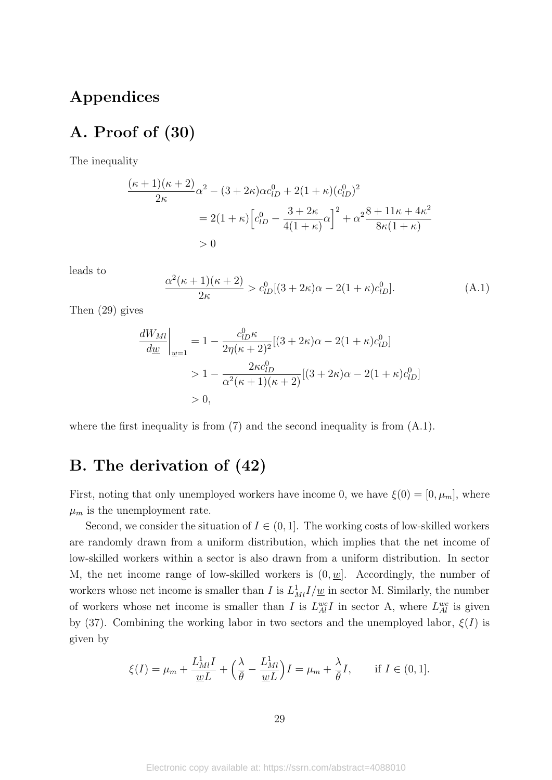## **Appendices**

# **A. Proof of (30)**

The inequality

$$
\frac{(\kappa+1)(\kappa+2)}{2\kappa}\alpha^2 - (3+2\kappa)\alpha c_{lD}^0 + 2(1+\kappa)(c_{lD}^0)^2
$$
  
= 2(1+\kappa)\left[c\_{lD}^0 - \frac{3+2\kappa}{4(1+\kappa)}\alpha\right]^2 + \alpha^2\frac{8+11\kappa+4\kappa^2}{8\kappa(1+\kappa)}  
> 0

leads to

$$
\frac{\alpha^2(\kappa+1)(\kappa+2)}{2\kappa} > c_{lD}^0[(3+2\kappa)\alpha - 2(1+\kappa)c_{lD}^0].
$$
\n(A.1)

Then (29) gives

$$
\frac{dW_{Ml}}{d\underline{w}}\Big|_{\underline{w}=1} = 1 - \frac{c_{lD}^0 \kappa}{2\eta(\kappa+2)^2} [(3+2\kappa)\alpha - 2(1+\kappa)c_{lD}^0] > 1 - \frac{2\kappa c_{lD}^0}{\alpha^2(\kappa+1)(\kappa+2)} [(3+2\kappa)\alpha - 2(1+\kappa)c_{lD}^0] > 0,
$$

where the first inequality is from  $(7)$  and the second inequality is from  $(A.1)$ .

# **B. The derivation of (42)**

First, noting that only unemployed workers have income 0, we have  $\xi(0) = [0, \mu_m]$ , where  $\mu_m$  is the unemployment rate.

Second, we consider the situation of  $I \in (0,1]$ . The working costs of low-skilled workers are randomly drawn from a uniform distribution, which implies that the net income of low-skilled workers within a sector is also drawn from a uniform distribution. In sector M, the net income range of low-skilled workers is  $(0, w]$ . Accordingly, the number of workers whose net income is smaller than *I* is  $L^1_M I/\underline{w}$  in sector M. Similarly, the number of workers whose net income is smaller than *I* is  $L_{Al}^{wc}I$  in sector A, where  $L_{Al}^{wc}$  is given by (37). Combining the working labor in two sectors and the unemployed labor,  $\xi(I)$  is given by

$$
\xi(I) = \mu_m + \frac{L_{Ml}^1}{\underline{w}L} + \left(\frac{\lambda}{\overline{\theta}} - \frac{L_{Ml}^1}{\underline{w}L}\right)I = \mu_m + \frac{\lambda}{\overline{\theta}}I, \quad \text{if } I \in (0, 1].
$$